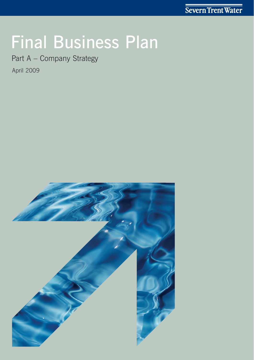# Final Business Plan

Part A – Company Strategy

April 2009

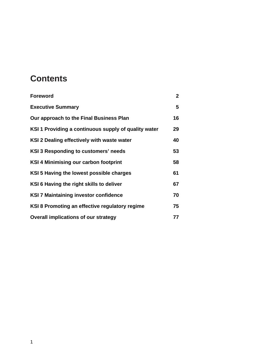### **Contents**

| <b>Foreword</b>                                      | $\overline{2}$ |
|------------------------------------------------------|----------------|
| <b>Executive Summary</b>                             | 5              |
| Our approach to the Final Business Plan              | 16             |
| KSI 1 Providing a continuous supply of quality water | 29             |
| KSI 2 Dealing effectively with waste water           | 40             |
| <b>KSI 3 Responding to customers' needs</b>          | 53             |
| <b>KSI 4 Minimising our carbon footprint</b>         | 58             |
| KSI 5 Having the lowest possible charges             | 61             |
| KSI 6 Having the right skills to deliver             | 67             |
| <b>KSI 7 Maintaining investor confidence</b>         | 70             |
| KSI 8 Promoting an effective regulatory regime       | 75             |
| <b>Overall implications of our strategy</b>          | 77             |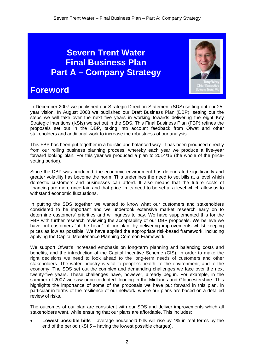### **Severn Trent Water Final Business Plan Part A – Company Strategy**



### **Foreword**

In December 2007 we published our Strategic Direction Statement (SDS) setting out our 25 year vision. In August 2008 we published our Draft Business Plan (DBP), setting out the steps we will take over the next five years in working towards delivering the eight Key Strategic Intentions (KSIs) we set out in the SDS. This Final Business Plan (FBP) refines the proposals set out in the DBP, taking into account feedback from Ofwat and other stakeholders and additional work to increase the robustness of our analysis.

This FBP has been put together in a holistic and balanced way. It has been produced directly from our rolling business planning process, whereby each year we produce a five-year forward looking plan. For this year we produced a plan to 2014/15 (the whole of the pricesetting period).

Since the DBP was produced, the economic environment has deteriorated significantly and greater volatility has become the norm. This underlines the need to set bills at a level which domestic customers and businesses can afford. It also means that the future costs of financing are more uncertain and that price limits need to be set at a level which allow us to withstand economic fluctuations.

In putting the SDS together we wanted to know what our customers and stakeholders considered to be important and we undertook extensive market research early on to determine customers' priorities and willingness to pay. We have supplemented this for the FBP with further research reviewing the acceptability of our DBP proposals. We believe we have put customers "at the heart" of our plan, by delivering improvements whilst keeping prices as low as possible. We have applied the appropriate risk-based framework, including applying the Capital Maintenance Planning Common Framework.

We support Ofwat's increased emphasis on long-term planning and balancing costs and benefits, and the introduction of the Capital Incentive Scheme (CIS). In order to make the right decisions we need to look ahead to the long-term needs of customers and other stakeholders. The water industry is vital to people's health, to the environment, and to the economy. The SDS set out the complex and demanding challenges we face over the next twenty-five years. These challenges have, however, already begun. For example, in the summer of 2007 we saw unprecedented flooding in the Midlands and Gloucestershire. This highlights the importance of some of the proposals we have put forward in this plan, in particular in terms of the resilience of our network, where our plans are based on a detailed review of risks.

The outcomes of our plan are consistent with our SDS and deliver improvements which all stakeholders want, while ensuring that our plans are affordable. This includes:

• **Lowest possible bills** – average household bills will rise by 4% in real terms by the end of the period (KSI 5 – having the lowest possible charges).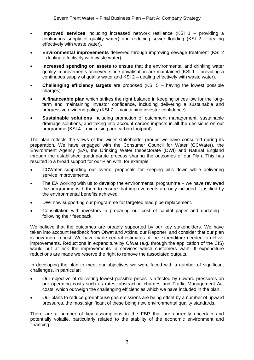- **Improved services** including increased network resilience (KSI 1 providing a continuous supply of quality water) and reducing sewer flooding (KSI 2 – dealing effectively with waste water).
- **Environmental improvements** delivered through improving sewage treatment (KSI 2 – dealing effectively with waste water).
- **Increased spending on assets** to ensure that the environmental and drinking water quality improvements achieved since privatisation are maintained (KSI 1 – providing a continuous supply of quality water and KSI 2 – dealing effectively with waste water).
- **Challenging efficiency targets** are proposed (KSI 5 having the lowest possible charges).
- **A financeable plan** which strikes the right balance in keeping prices low for the longterm and maintaining investor confidence, including delivering a sustainable and progressive dividend policy (KSI 7 – maintaining investor confidence).
- **Sustainable solutions** including promotion of catchment management, sustainable drainage solutions, and taking into account carbon impacts in all the decisions on our programme (KSI 4 – minimising our carbon footprint).

The plan reflects the views of the wider stakeholder groups we have consulted during its preparation. We have engaged with the Consumer Council for Water (CCWater), the Environment Agency (EA), the Drinking Water Inspectorate (DWI) and Natural England through the established quadripartite process sharing the outcomes of our Plan. This has resulted in a broad support for our Plan with, for example:

- CCWater supporting our overall proposals for keeping bills down while delivering service improvements.
- The EA working with us to develop the environmental programme we have reviewed the programme with them to ensure that improvements are only included if justified by the environmental benefits achieved.
- DWI now supporting our programme for targeted lead pipe replacement.
- Consultation with investors in preparing our cost of capital paper and updating it following their feedback.

We believe that the outcomes are broadly supported by our key stakeholders. We have taken into account feedback from Ofwat and Atkins, our Reporter, and consider that our plan is now more robust. We have made central estimates of the expenditure needed to deliver improvements. Reductions in expenditure by Ofwat (e.g. through the application of the CIS) would put at risk the improvements in services which customers want. If expenditure reductions are made we reserve the right to remove the associated outputs.

In developing the plan to meet our objectives we were faced with a number of significant challenges, in particular:

- Our objective of delivering lowest possible prices is affected by upward pressures on our operating costs such as rates, abstraction charges and Traffic Management Act costs, which outweigh the challenging efficiencies which we have included in the plan.
- Our plans to reduce greenhouse gas emissions are being offset by a number of upward pressures, the most significant of these being new environmental quality standards.

There are a number of key assumptions in the FBP that are currently uncertain and potentially volatile, particularly related to the stability of the economic environment and financing: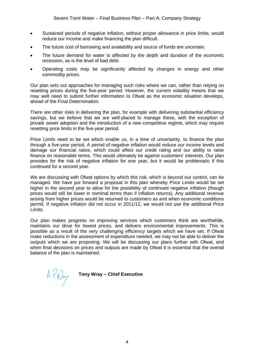- Sustained periods of negative inflation, without proper allowance in price limits, would reduce our income and make financing the plan difficult.
- The future cost of borrowing and availability and source of funds are uncertain.
- The future demand for water is affected by the depth and duration of the economic recession, as is the level of bad debt.
- Operating costs may be significantly affected by changes in energy and other commodity prices.

Our plan sets out approaches for managing such risks where we can, rather than relying on resetting prices during the five-year period. However, the current volatility means that we may well need to submit further information to Ofwat as the economic situation develops, ahead of the Final Determination.

There are other risks in delivering the plan, for example with delivering substantial efficiency savings, but we believe that we are well-placed to manage these, with the exception of private sewer adoption and the introduction of a new competitive regime, which may require resetting price limits in the five-year period.

Price Limits need to be set which enable us, in a time of uncertainty, to finance the plan through a five-year period. A period of negative inflation would reduce our income levels and damage our financial ratios, which could affect our credit rating and our ability to raise finance on reasonable terms. This would ultimately be against customers' interests. Our plan provides for the risk of negative inflation for one year, but it would be problematic if this continued for a second year.

We are discussing with Ofwat options by which this risk, which is beyond our control, can be managed. We have put forward a proposal in this plan whereby Price Limits would be set higher in the second year to allow for the possibility of continued negative inflation (though prices would still be lower in nominal terms than if inflation returns). Any additional revenue arising from higher prices would be returned to customers as and when economic conditions permit. If negative inflation did not occur in 2011/12, we would not use the additional Price Limits.

Our plan makes progress on improving services which customers think are worthwhile, maintains our drive for lowest prices, and delivers environmental improvements. This is possible as a result of the very challenging efficiency targets which we have set. If Ofwat make reductions in the assessment of expenditure needed, we may not be able to deliver the outputs which we are proposing. We will be discussing our plans further with Ofwat, and when final decisions on prices and outputs are made by Ofwat it is essential that the overall balance of the plan is maintained.

**Tony Wray – Chief Executive**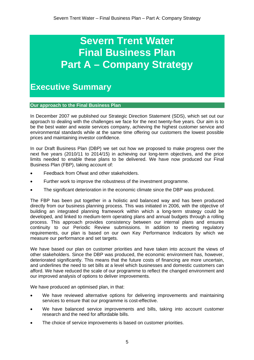## **Severn Trent Water Final Business Plan Part A – Company Strategy**

**Executive Summary** 

**Our approach to the Final Business Plan** 

In December 2007 we published our Strategic Direction Statement (SDS), which set out our approach to dealing with the challenges we face for the next twenty-five years. Our aim is to be the best water and waste services company, achieving the highest customer service and environmental standards while at the same time offering our customers the lowest possible prices and maintaining investor confidence.

In our Draft Business Plan (DBP) we set out how we proposed to make progress over the next five years (2010/11 to 2014/15) in achieving our long-term objectives, and the price limits needed to enable these plans to be delivered. We have now produced our Final Business Plan (FBP), taking account of:

- Feedback from Ofwat and other stakeholders.
- Further work to improve the robustness of the investment programme.
- The significant deterioration in the economic climate since the DBP was produced.

The FBP has been put together in a holistic and balanced way and has been produced directly from our business planning process. This was initiated in 2006, with the objective of building an integrated planning framework within which a long-term strategy could be developed, and linked to medium-term operating plans and annual budgets through a rolling process. This approach provides consistency between our internal plans and ensures continuity to our Periodic Review submissions. In addition to meeting regulatory requirements, our plan is based on our own Key Performance Indicators by which we measure our performance and set targets.

We have based our plan on customer priorities and have taken into account the views of other stakeholders. Since the DBP was produced, the economic environment has, however, deteriorated significantly. This means that the future costs of financing are more uncertain, and underlines the need to set bills at a level which businesses and domestic customers can afford. We have reduced the scale of our programme to reflect the changed environment and our improved analysis of options to deliver improvements.

We have produced an optimised plan, in that:

- We have reviewed alternative options for delivering improvements and maintaining services to ensure that our programme is cost-effective.
- We have balanced service improvements and bills, taking into account customer research and the need for affordable bills.
- The choice of service improvements is based on customer priorities.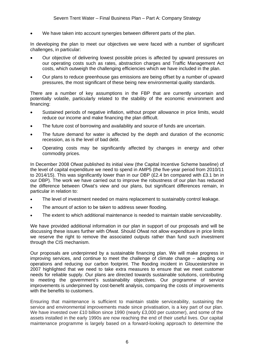We have taken into account synergies between different parts of the plan.

In developing the plan to meet our objectives we were faced with a number of significant challenges, in particular:

- Our objective of delivering lowest possible prices is affected by upward pressures on our operating costs such as rates, abstraction charges and Traffic Management Act costs, which outweigh the challenging efficiencies which we have included in the plan.
- Our plans to reduce greenhouse gas emissions are being offset by a number of upward pressures, the most significant of these being new environmental quality standards.

There are a number of key assumptions in the FBP that are currently uncertain and potentially volatile, particularly related to the stability of the economic environment and financing:

- Sustained periods of negative inflation, without proper allowance in price limits, would reduce our income and make financing the plan difficult.
- The future cost of borrowing and availability and source of funds are uncertain.
- The future demand for water is affected by the depth and duration of the economic recession, as is the level of bad debt.
- Operating costs may be significantly affected by changes in energy and other commodity prices.

In December 2008 Ofwat published its initial view (the Capital Incentive Scheme baseline) of the level of capital expenditure we need to spend in AMP5 (the five-year period from 2010/11 to 2014/15). This was significantly lower than in our DBP (£2.4 bn compared with £3.1 bn in our DBP). The work we have carried out to improve the robustness of our plan has reduced the difference between Ofwat's view and our plans, but significant differences remain, in particular in relation to:

- The level of investment needed on mains replacement to sustainably control leakage.
- The amount of action to be taken to address sewer flooding.
- The extent to which additional maintenance is needed to maintain stable serviceability.

We have provided additional information in our plan in support of our proposals and will be discussing these issues further with Ofwat. Should Ofwat not allow expenditure in price limits we reserve the right to remove the associated outputs rather than fund such investment through the CIS mechanism.

Our proposals are underpinned by a sustainable financing plan. We will make progress in improving services, and continue to meet the challenge of climate change – adapting our operations and reducing our carbon footprint. The flooding incident in Gloucestershire in 2007 highlighted that we need to take extra measures to ensure that we meet customer needs for reliable supply. Our plans are directed towards sustainable solutions, contributing to meeting the government's sustainability objectives. Our programme of service improvements is underpinned by cost-benefit analysis, comparing the costs of improvements with the benefits to customers.

Ensuring that maintenance is sufficient to maintain stable serviceability, sustaining the service and environmental improvements made since privatisation, is a key part of our plan. We have invested over £10 billion since 1990 (nearly £3,000 per customer), and some of the assets installed in the early 1990s are now reaching the end of their useful lives. Our capital maintenance programme is largely based on a forward-looking approach to determine the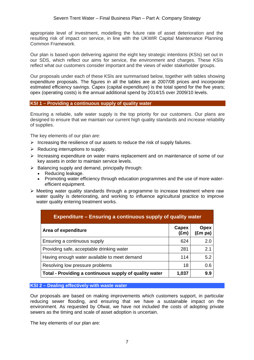appropriate level of investment, modelling the future rate of asset deterioration and the resulting risk of impact on service, in line with the UKWIR Capital Maintenance Planning Common Framework.

Our plan is based upon delivering against the eight key strategic intentions (KSIs) set out in our SDS, which reflect our aims for service, the environment and charges. These KSIs reflect what our customers consider important and the views of wider stakeholder groups.

Our proposals under each of these KSIs are summarised below, together with tables showing expenditure proposals. The figures in all the tables are at 2007/08 prices and incorporate estimated efficiency savings. Capex (capital expenditure) is the total spend for the five years; opex (operating costs) is the annual additional spend by 2014/15 over 2009/10 levels.

#### **KSI 1 – Providing a continuous supply of quality water**

Ensuring a reliable, safe water supply is the top priority for our customers. Our plans are designed to ensure that we maintain our current high quality standards and increase reliability of supplies.

The key elements of our plan are:

- $\triangleright$  Increasing the resilience of our assets to reduce the risk of supply failures.
- $\triangleright$  Reducing interruptions to supply.
- $\triangleright$  Increasing expenditure on water mains replacement and on maintenance of some of our key assets in order to maintain service levels.
- $\triangleright$  Balancing supply and demand, principally through:
	- Reducing leakage.
	- Promoting water efficiency through education programmes and the use of more waterefficient equipment.
- $\triangleright$  Meeting water quality standards through a programme to increase treatment where raw water quality is deteriorating, and working to influence agricultural practice to improve water quality entering treatment works.

| <b>Expenditure – Ensuring a continuous supply of quality water</b> |                        |                        |
|--------------------------------------------------------------------|------------------------|------------------------|
| Area of expenditure                                                | Capex<br>$(\text{Em})$ | <b>Opex</b><br>(£m pa) |
| Ensuring a continuous supply                                       | 624                    | 2.0                    |
| Providing safe, acceptable drinking water                          | 281                    | 2.1                    |
| Having enough water available to meet demand                       | 114                    | 5.2                    |
| Resolving low pressure problems                                    | 18                     | 0.6                    |
| Total - Providing a continuous supply of quality water             | 1,037                  | 9.9                    |

#### **KSI 2 – Dealing effectively with waste water**

Our proposals are based on making improvements which customers support, in particular reducing sewer flooding, and ensuring that we have a sustainable impact on the environment. As requested by Ofwat, we have not included the costs of adopting private sewers as the timing and scale of asset adoption is uncertain.

The key elements of our plan are: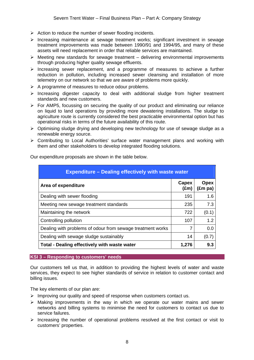- $\triangleright$  Action to reduce the number of sewer flooding incidents.
- ¾ Increasing maintenance at sewage treatment works; significant investment in sewage treatment improvements was made between 1990/91 and 1994/95, and many of these assets will need replacement in order that reliable services are maintained.
- $\triangleright$  Meeting new standards for sewage treatment delivering environmental improvements through producing higher quality sewage effluents.
- $\triangleright$  Increasing sewer replacement, and a programme of measures to achieve a further reduction in pollution, including increased sewer cleansing and installation of more telemetry on our network so that we are aware of problems more quickly.
- $\triangleright$  A programme of measures to reduce odour problems.
- $\triangleright$  Increasing digester capacity to deal with additional sludge from higher treatment standards and new customers.
- $\triangleright$  For AMP5, focussing on securing the quality of our product and eliminating our reliance on liquid to land operations by providing more dewatering installations. The sludge to agriculture route is currently considered the best practicable environmental option but has operational risks in terms of the future availability of this route.
- ¾ Optimising sludge drying and developing new technology for use of sewage sludge as a renewable energy source.
- ¾ Contributing to Local Authorities' surface water management plans and working with them and other stakeholders to develop integrated flooding solutions.

| <b>Expenditure - Dealing effectively with waste water</b>  |                        |                          |
|------------------------------------------------------------|------------------------|--------------------------|
| Area of expenditure                                        | Capex<br>$(\text{Em})$ | Opex<br>$(\text{Em pa})$ |
| Dealing with sewer flooding                                | 191                    | 1.6                      |
| Meeting new sewage treatment standards                     | 235                    | 7.3                      |
| Maintaining the network                                    | 722                    | (0.1)                    |
| Controlling pollution                                      | 107                    | 1.2 <sub>2</sub>         |
| Dealing with problems of odour from sewage treatment works | 7                      | 0.0                      |
| Dealing with sewage sludge sustainably                     | 14                     | (0.7)                    |
| Total - Dealing effectively with waste water               | 1,276                  | 9.3                      |

Our expenditure proposals are shown in the table below.

#### **KSI 3 – Responding to customers' needs**

Our customers tell us that, in addition to providing the highest levels of water and waste services, they expect to see higher standards of service in relation to customer contact and billing issues.

The key elements of our plan are:

- ¾ Improving our quality and speed of response when customers contact us.
- $\triangleright$  Making improvements in the way in which we operate our water mains and sewer networks and billing systems to minimise the need for customers to contact us due to service failures.
- $\triangleright$  Increasing the number of operational problems resolved at the first contact or visit to customers' properties.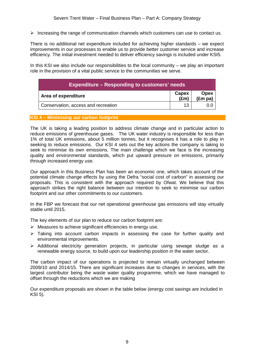$\triangleright$  Increasing the range of communication channels which customers can use to contact us.

There is no additional net expenditure included for achieving higher standards – we expect improvements in our processes to enable us to provide better customer service and increase efficiency. The initial investment needed to deliver efficiency savings is included under KSI5.

In this KSI we also include our responsibilities to the local community – we play an important role in the provision of a vital public service to the communities we serve.

| <b>Expenditure – Responding to customers' needs</b> |                        |                                         |
|-----------------------------------------------------|------------------------|-----------------------------------------|
| Area of expenditure                                 | Capex<br>$(\text{Em})$ | <b>Opex</b><br>$(\text{Em}^{\cdot}$ pa) |
| Conservation, access and recreation                 | 13                     | บ.เ                                     |

#### **KSI 4 – Minimising our carbon footprint**

The UK is taking a leading position to address climate change and in particular action to reduce emissions of greenhouse gases. The UK water industry is responsible for less than 1% of total UK emissions, about 5 million tonnes, but it recognises it has a role to play in seeking to reduce emissions. Our KSI 4 sets out the key actions the company is taking to seek to minimise its own emissions. The main challenge which we face is the increasing quality and environmental standards, which put upward pressure on emissions, primarily through increased energy use.

Our approach in this Business Plan has been an economic one, which takes account of the potential climate change effects by using the Defra "social cost of carbon" in assessing our proposals. This is consistent with the approach required by Ofwat. We believe that this approach strikes the right balance between our intention to seek to minimise our carbon footprint and our other commitments to our customers.

In the FBP we forecast that our net operational greenhouse gas emissions will stay virtually stable until 2015.

The key elements of our plan to reduce our carbon footprint are:

- $\triangleright$  Measures to achieve significant efficiencies in energy use.
- $\triangleright$  Taking into account carbon impacts in assessing the case for further quality and environmental improvements.
- $\triangleright$  Additional electricity generation projects, in particular using sewage sludge as a renewable energy source, to build upon our leadership position in the water sector.

The carbon impact of our operations is projected to remain virtually unchanged between 2009/10 and 2014/15. There are significant increases due to changes in services, with the largest contributor being the waste water quality programme, which we have managed to offset through the reductions which we are making

Our expenditure proposals are shown in the table below (energy cost savings are included in KSI 5).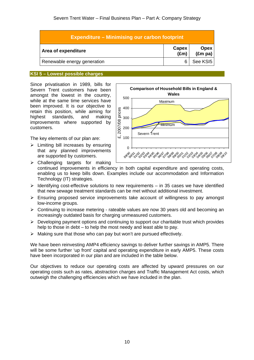| <b>Expenditure – Minimising our carbon footprint</b> |                        |                                 |
|------------------------------------------------------|------------------------|---------------------------------|
| Area of expenditure                                  | Capex<br>$(\text{Em})$ | <b>Opex</b><br>$(\text{Em pa})$ |
| Renewable energy generation                          |                        | See KSI5                        |

#### **KSI 5 – Lowest possible charges**

Since privatisation in 1989, bills for Severn Trent customers have been amongst the lowest in the country, while at the same time services have been improved. It is our objective to retain this position, while aiming for highest standards, and making improvements where supported by customers.

The key elements of our plan are:

 $\triangleright$  Limiting bill increases by ensuring that any planned improvements are supported by customers.



 $\triangleright$  Challenging targets for making continued improvements in efficiency in both capital expenditure and operating costs, enabling us to keep bills down. Examples include our accommodation and Information Technology (IT) strategies.

- $\triangleright$  Identifying cost-effective solutions to new requirements in 35 cases we have identified that new sewage treatment standards can be met without additional investment.
- $\triangleright$  Ensuring proposed service improvements take account of willingness to pay amongst low-income groups.
- $\triangleright$  Continuing to increase metering rateable values are now 30 years old and becoming an increasingly outdated basis for charging unmeasured customers.
- $\triangleright$  Developing payment options and continuing to support our charitable trust which provides help to those in debt – to help the most needy and least able to pay.
- $\triangleright$  Making sure that those who can pay but won't are pursued effectively.

We have been reinvesting AMP4 efficiency savings to deliver further savings in AMP5. There will be some further 'up front' capital and operating expenditure in early AMP5. These costs have been incorporated in our plan and are included in the table below.

Our objectives to reduce our operating costs are affected by upward pressures on our operating costs such as rates, abstraction charges and Traffic Management Act costs, which outweigh the challenging efficiencies which we have included in the plan.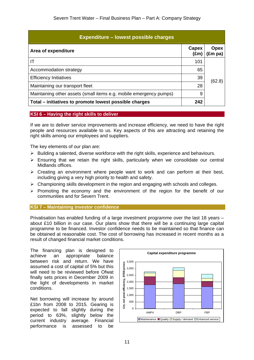| <b>Expenditure - lowest possible charges</b>                       |                        |                                 |
|--------------------------------------------------------------------|------------------------|---------------------------------|
| Area of expenditure                                                | Capex<br>$(\text{Em})$ | <b>Opex</b><br>$(\text{Em pa})$ |
| ΙT                                                                 | 101                    |                                 |
| Accommodation strategy                                             | 65                     |                                 |
| <b>Efficiency Initiatives</b>                                      | 39                     | (62.8)                          |
| Maintaining our transport fleet                                    | 28                     |                                 |
| Maintaining other assets (small items e.g. mobile emergency pumps) | 9                      |                                 |
| Total - initiatives to promote lowest possible charges             | 242                    |                                 |

#### **KSI 6 – Having the right skills to deliver**

If we are to deliver service improvements and increase efficiency, we need to have the right people and resources available to us. Key aspects of this are attracting and retaining the right skills among our employees and suppliers.

The key elements of our plan are:

- $\triangleright$  Building a talented, diverse workforce with the right skills, experience and behaviours.
- $\triangleright$  Ensuring that we retain the right skills, particularly when we consolidate our central Midlands offices.
- $\triangleright$  Creating an environment where people want to work and can perform at their best, including giving a very high priority to health and safety.
- $\triangleright$  Championing skills development in the region and engaging with schools and colleges.
- $\triangleright$  Promoting the economy and the environment of the region for the benefit of our communities and for Severn Trent.

#### **KSI 7 – Maintaining investor confidence**

Privatisation has enabled funding of a large investment programme over the last 18 years – about £10 billion in our case. Our plans show that there will be a continuing large capital programme to be financed. Investor confidence needs to be maintained so that finance can be obtained at reasonable cost. The cost of borrowing has increased in recent months as a result of changed financial market conditions.

The financing plan is designed to achieve an appropriate balance between risk and return. We have assumed a cost of capital of 5% but this will need to be reviewed before Ofwat finally sets prices in December 2009 in the light of developments in market conditions.

Net borrowing will increase by around £1bn from 2008 to 2015. Gearing is expected to fall slightly during the period to 63%, slightly below the current industry average. Financial performance is assessed to be

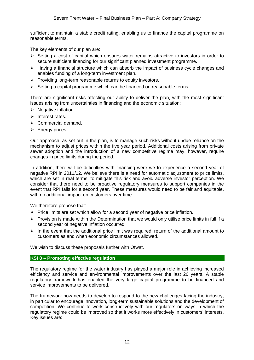sufficient to maintain a stable credit rating, enabling us to finance the capital programme on reasonable terms.

The key elements of our plan are:

- $\triangleright$  Setting a cost of capital which ensures water remains attractive to investors in order to secure sufficient financing for our significant planned investment programme.
- $\triangleright$  Having a financial structure which can absorb the impact of business cycle changes and enables funding of a long-term investment plan.
- $\triangleright$  Providing long-term reasonable returns to equity investors.
- $\triangleright$  Setting a capital programme which can be financed on reasonable terms.

There are significant risks affecting our ability to deliver the plan, with the most significant issues arising from uncertainties in financing and the economic situation:

- $\triangleright$  Negative inflation.
- ¾ Interest rates.
- $\triangleright$  Commercial demand.
- $\triangleright$  Energy prices.

Our approach, as set out in the plan, is to manage such risks without undue reliance on the mechanism to adjust prices within the five year period. Additional costs arising from private sewer adoption and the introduction of a new competitive regime may, however, require changes in price limits during the period.

In addition, there will be difficulties with financing were we to experience a second year of negative RPI in 2011/12. We believe there is a need for automatic adjustment to price limits, which are set in real terms, to mitigate this risk and avoid adverse investor perception. We consider that there need to be proactive regulatory measures to support companies in the event that RPI falls for a second year. These measures would need to be fair and equitable, with no additional impact on customers over time.

We therefore propose that:

- $\triangleright$  Price limits are set which allow for a second year of negative price inflation.
- $\triangleright$  Provision is made within the Determination that we would only utilise price limits in full if a second year of negative inflation occurred.
- $\triangleright$  In the event that the additional price limit was required, return of the additional amount to customers as and when economic circumstances allowed.

We wish to discuss these proposals further with Ofwat.

#### **KSI 8 – Promoting effective regulation**

The regulatory regime for the water industry has played a major role in achieving increased efficiency and service and environmental improvements over the last 20 years. A stable regulatory framework has enabled the very large capital programme to be financed and service improvements to be delivered.

The framework now needs to develop to respond to the new challenges facing the industry, in particular to encourage innovation, long-term sustainable solutions and the development of competition. We continue to work constructively with our regulators on ways in which the regulatory regime could be improved so that it works more effectively in customers' interests. Key issues are: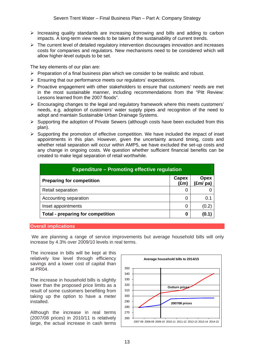- $\triangleright$  Increasing quality standards are increasing borrowing and bills and adding to carbon impacts. A long-term view needs to be taken of the sustainability of current trends.
- $\triangleright$  The current level of detailed regulatory intervention discourages innovation and increases costs for companies and regulators. New mechanisms need to be considered which will allow higher-level outputs to be set.

The key elements of our plan are:

- $\triangleright$  Preparation of a final business plan which we consider to be realistic and robust.
- $\triangleright$  Ensuring that our performance meets our regulators' expectations.
- $\triangleright$  Proactive engagement with other stakeholders to ensure that customers' needs are met in the most sustainable manner, including recommendations from the "Pitt Review: Lessons learned from the 2007 floods".
- $\triangleright$  Encouraging changes to the legal and regulatory framework where this meets customers' needs, e.g. adoption of customers' water supply pipes and recognition of the need to adopt and maintain Sustainable Urban Drainage Systems.
- $\triangleright$  Supporting the adoption of Private Sewers (although costs have been excluded from this plan).
- $\triangleright$  Supporting the promotion of effective competition. We have included the impact of inset appointments in this plan. However, given the uncertainty around timing, costs and whether retail separation will occur within AMP5, we have excluded the set-up costs and any change in ongoing costs. We question whether sufficient financial benefits can be created to make legal separation of retail worthwhile.

| <b>Expenditure – Promoting effective regulation</b> |                        |                                         |
|-----------------------------------------------------|------------------------|-----------------------------------------|
| <b>Preparing for competition</b>                    | Capex<br>$(\text{Em})$ | <b>Opex</b><br>$(\text{Em/} \text{pa})$ |
| Retail separation                                   | 0                      |                                         |
| Accounting separation                               | 0                      | 0.1                                     |
| Inset appointments                                  | 0                      | (0.2)                                   |
| <b>Total - preparing for competition</b>            | 0                      | (0.1                                    |

#### **Overall implications**

We are planning a range of service improvements but average household bills will only increase by 4.3% over 2009/10 levels in real terms.

The increase in bills will be kept at this relatively low level through efficiency savings and a lower cost of capital than at PR04.

The increase in household bills is slightly lower than the proposed price limits as a result of some customers benefiting from taking up the option to have a meter installed.

Although the increase in real terms (2007/08 prices) in 2010/11 is relatively large, the actual increase in cash terms

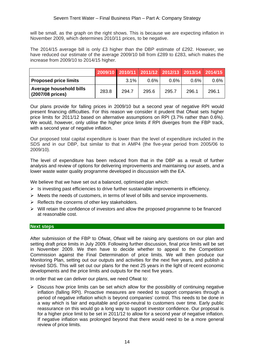will be small, as the graph on the right shows. This is because we are expecting inflation in November 2009, which determines 2010/11 prices, to be negative.

The 2014/15 average bill is only £3 higher than the DBP estimate of £292. However, we have reduced our estimate of the average 2009/10 bill from £289 to £283, which makes the increase from 2009/10 to 2014/15 higher.

|                                             |       |         |         |         | 2009/10 2010/11 2011/12 2012/13 2013/14 2014/15 |         |
|---------------------------------------------|-------|---------|---------|---------|-------------------------------------------------|---------|
| <b>Proposed price limits</b>                |       | $3.1\%$ | $0.6\%$ | $0.6\%$ | $0.6\%$                                         | $0.6\%$ |
| Average household bills<br>(2007/08 prices) | 283.8 | 294.7   | 295.6   | 295.7   | 296.1                                           | 296.1   |

Our plans provide for falling prices in 2009/10 but a second year of negative RPI would present financing difficulties. For this reason we consider it prudent that Ofwat sets higher price limits for 2011/12 based on alternative assumptions on RPI (3.7% rather than 0.6%). We would, however, only utilise the higher price limits if RPI diverges from the FBP track, with a second year of negative inflation.

Our proposed total capital expenditure is lower than the level of expenditure included in the SDS and in our DBP, but similar to that in AMP4 (the five-year period from 2005/06 to 2009/10).

The level of expenditure has been reduced from that in the DBP as a result of further analysis and review of options for delivering improvements and maintaining our assets, and a lower waste water quality programme developed in discussion with the EA.

We believe that we have set out a balanced, optimised plan which:

- $\triangleright$  Is investing past efficiencies to drive further sustainable improvements in efficiency.
- $\triangleright$  Meets the needs of customers, in terms of level of bills and service improvements.
- $\triangleright$  Reflects the concerns of other key stakeholders.
- $\triangleright$  Will retain the confidence of investors and allow the proposed programme to be financed at reasonable cost.

#### **Next steps**

After submission of the FBP to Ofwat, Ofwat will be raising any questions on our plan and setting draft price limits in July 2009. Following further discussion, final price limits will be set in November 2009. We then have to decide whether to appeal to the Competition Commission against the Final Determination of price limits. We will then produce our Monitoring Plan, setting out our outputs and activities for the next five years, and publish a revised SDS. This will set out our plans for the next 25 years in the light of recent economic developments and the price limits and outputs for the next five years.

In order that we can deliver our plans, we need Ofwat to:

 $\triangleright$  Discuss how price limits can be set which allow for the possibility of continuing negative inflation (falling RPI). Proactive measures are needed to support companies through a period of negative inflation which is beyond companies' control. This needs to be done in a way which is fair and equitable and price-neutral to customers over time. Early public reassurance on this would go a long way to support investor confidence. Our proposal is for a higher price limit to be set in 2011/12 to allow for a second year of negative inflation. If negative inflation was prolonged beyond that there would need to be a more general review of price limits.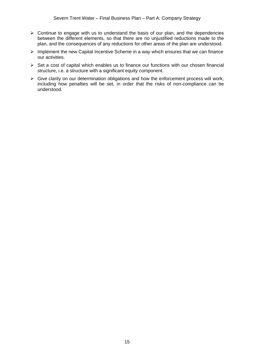- $\triangleright$  Continue to engage with us to understand the basis of our plan, and the dependencies between the different elements, so that there are no unjustified reductions made to the plan, and the consequences of any reductions for other areas of the plan are understood.
- $\triangleright$  Implement the new Capital Incentive Scheme in a way which ensures that we can finance our activities.
- $\triangleright$  Set a cost of capital which enables us to finance our functions with our chosen financial structure, i.e. a structure with a significant equity component.
- $\triangleright$  Give clarity on our determination obligations and how the enforcement process will work, including how penalties will be set, in order that the risks of non-compliance can be understood.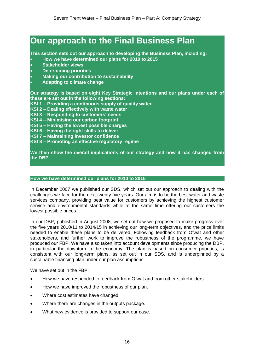### **Our approach to the Final Business Plan**

**This section sets out our approach to developing the Business Plan, including:** 

- **How we have determined our plans for 2010 to 2015**
- **Stakeholder views**
- **Determining priorities**
- **Making our contribution to sustainability**
- **Adapting to climate change**

**Our strategy is based on eight Key Strategic Intentions and our plans under each of these are set out in the following sections:** 

- **KSI 1 Providing a continuous supply of quality water**
- **KSI 2 Dealing effectively with waste water**
- **KSI 3 Responding to customers' needs**
- **KSI 4 Minimising our carbon footprint**
- **KSI 5 Having the lowest possible charges**
- **KSI 6 Having the right skills to deliver**
- **KSI 7 Maintaining investor confidence**
- **KSI 8 Promoting an effective regulatory regime**

**We then show the overall implications of our strategy and how it has changed from the DBP.** 

#### **How we have determined our plans for 2010 to 2015**

In December 2007 we published our SDS, which set out our approach to dealing with the challenges we face for the next twenty-five years. Our aim is to be the best water and waste services company, providing best value for customers by achieving the highest customer service and environmental standards while at the same time offering our customers the lowest possible prices.

In our DBP, published in August 2008, we set out how we proposed to make progress over the five years 2010/11 to 2014/15 in achieving our long-term objectives, and the price limits needed to enable these plans to be delivered. Following feedback from Ofwat and other stakeholders, and further work to improve the robustness of the programme, we have produced our FBP. We have also taken into account developments since producing the DBP, in particular the downturn in the economy. The plan is based on consumer priorities, is consistent with our long-term plans, as set out in our SDS, and is underpinned by a sustainable financing plan under our plan assumptions.

We have set out in the FBP:

- How we have responded to feedback from Ofwat and from other stakeholders.
- How we have improved the robustness of our plan.
- Where cost estimates have changed.
- Where there are changes in the outputs package.
- What new evidence is provided to support our case.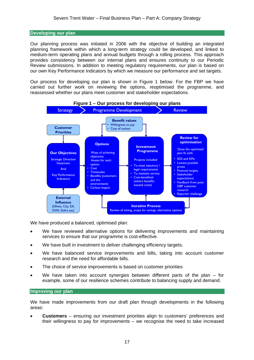#### **Developing our plan**

Our planning process was initiated in 2006 with the objective of building an integrated planning framework within which a long-term strategy could be developed, and linked to medium-term operating plans and annual budgets through a rolling process. This approach provides consistency between our internal plans and ensures continuity to our Periodic Review submissions. In addition to meeting regulatory requirements, our plan is based on our own Key Performance Indicators by which we measure our performance and set targets.

Our process for developing our plan is shown in Figure 1 below. For the FBP we have carried out further work on reviewing the options, reoptimised the programme, and reassessed whether our plans meet customer and stakeholder expectations.



We have produced a balanced, optimised plan:

- We have reviewed alternative options for delivering improvements and maintaining services to ensure that our programme is cost-effective.
- We have built in investment to deliver challenging efficiency targets.
- We have balanced service improvements and bills, taking into account customer research and the need for affordable bills.
- The choice of service improvements is based on customer priorities
- We have taken into account synergies between different parts of the plan  $-$  for example, some of our resilience schemes contribute to balancing supply and demand.

#### **Improving our plan**

We have made improvements from our draft plan through developments in the following areas:

• **Customers** – ensuring our investment priorities align to customers' preferences and their willingness to pay for improvements – we recognise the need to take increased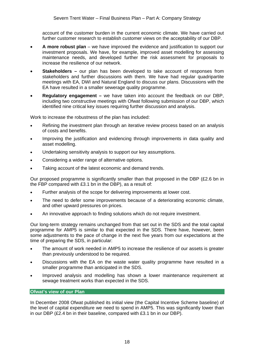account of the customer burden in the current economic climate. We have carried out further customer research to establish customer views on the acceptability of our DBP.

- **A more robust plan**  we have improved the evidence and justification to support our investment proposals. We have, for example, improved asset modelling for assessing maintenance needs, and developed further the risk assessment for proposals to increase the resilience of our network.
- **Stakeholders** our plan has been developed to take account of responses from stakeholders and further discussions with them. We have had regular quadripartite meetings with EA, DWI and Natural England to discuss our plans. Discussions with the EA have resulted in a smaller sewerage quality programme.
- **Regulatory engagement** we have taken into account the feedback on our DBP, including two constructive meetings with Ofwat following submission of our DBP, which identified nine critical key issues requiring further discussion and analysis.

Work to increase the robustness of the plan has included:

- Refining the investment plan through an iterative review process based on an analysis of costs and benefits.
- Improving the justification and evidencing through improvements in data quality and asset modelling.
- Undertaking sensitivity analysis to support our key assumptions.
- Considering a wider range of alternative options.
- Taking account of the latest economic and demand trends.

Our proposed programme is significantly smaller than that proposed in the DBP (£2.6 bn in the FBP compared with £3.1 bn in the DBP), as a result of:

- Further analysis of the scope for delivering improvements at lower cost.
- The need to defer some improvements because of a deteriorating economic climate, and other upward pressures on prices.
- An innovative approach to finding solutions which do not require investment.

Our long-term strategy remains unchanged from that set out in the SDS and the total capital programme for AMP5 is similar to that expected in the SDS. There have, however, been some adjustments to the pace of change in the next five years from our expectations at the time of preparing the SDS, in particular:

- The amount of work needed in AMP5 to increase the resilience of our assets is greater than previously understood to be required.
- Discussions with the EA on the waste water quality programme have resulted in a smaller programme than anticipated in the SDS.
- Improved analysis and modelling has shown a lower maintenance requirement at sewage treatment works than expected in the SDS.

#### **Ofwat's view of our Plan**

In December 2008 Ofwat published its initial view (the Capital Incentive Scheme baseline) of the level of capital expenditure we need to spend in AMP5. This was significantly lower than in our DBP (£2.4 bn in their baseline, compared with £3.1 bn in our DBP).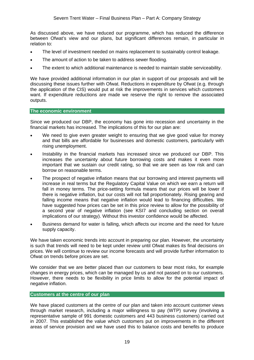As discussed above, we have reduced our programme, which has reduced the difference between Ofwat's view and our plans, but significant differences remain, in particular in relation to:

- The level of investment needed on mains replacement to sustainably control leakage.
- The amount of action to be taken to address sewer flooding.
- The extent to which additional maintenance is needed to maintain stable serviceability.

We have provided additional information in our plan in support of our proposals and will be discussing these issues further with Ofwat. Reductions in expenditure by Ofwat (e.g. through the application of the CIS) would put at risk the improvements in services which customers want. If expenditure reductions are made we reserve the right to remove the associated outputs.

#### **The economic environment**

Since we produced our DBP, the economy has gone into recession and uncertainty in the financial markets has increased. The implications of this for our plan are:

- We need to give even greater weight to ensuring that we give good value for money and that bills are affordable for businesses and domestic customers, particularly with rising unemployment.
- Instability in the financial markets has increased since we produced our DBP. This increases the uncertainty about future borrowing costs and makes it even more important that we sustain our credit rating, so that we are seen as low risk and can borrow on reasonable terms.
- The prospect of negative inflation means that our borrowing and interest payments will increase in real terms but the Regulatory Capital Value on which we earn a return will fall in money terms. The price-setting formula means that our prices will be lower if there is negative inflation, but our costs will not fall proportionately. Rising gearing and falling income means that negative inflation would lead to financing difficulties. We have suggested how prices can be set in this price review to allow for the possibility of a second year of negative inflation (see KSI7 and concluding section on overall implications of our strategy). Without this investor confidence would be affected.
- Business demand for water is falling, which affects our income and the need for future supply capacity.

We have taken economic trends into account in preparing our plan. However, the uncertainty is such that trends will need to be kept under review until Ofwat makes its final decisions on prices. We will continue to review our income forecasts and will provide further information to Ofwat on trends before prices are set.

We consider that we are better placed than our customers to bear most risks, for example changes in energy prices, which can be managed by us and not passed on to our customers. However, there needs to be flexibility in price limits to allow for the potential impact of negative inflation.

#### **Customers at the centre of our plan**

We have placed customers at the centre of our plan and taken into account customer views through market research, including a major willingness to pay (WTP) survey (involving a representative sample of 991 domestic customers and 443 business customers) carried out in 2007. This established the value which customers put on improvements in the different areas of service provision and we have used this to balance costs and benefits to produce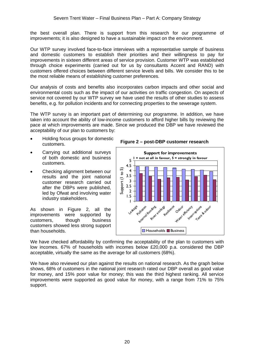the best overall plan. There is support from this research for our programme of improvements; it is also designed to have a sustainable impact on the environment.

Our WTP survey involved face-to-face interviews with a representative sample of business and domestic customers to establish their priorities and their willingness to pay for improvements in sixteen different areas of service provision. Customer WTP was established through choice experiments (carried out for us by consultants Accent and RAND) with customers offered choices between different service levels and bills. We consider this to be the most reliable means of establishing customer preferences.

Our analysis of costs and benefits also incorporates carbon impacts and other social and environmental costs such as the impact of our activities on traffic congestion. On aspects of service not covered by our WTP survey we have used the results of other studies to assess benefits, e.g. for pollution incidents and for connecting properties to the sewerage system.

The WTP survey is an important part of determining our programme. In addition, we have taken into account the ability of low-income customers to afford higher bills by reviewing the pace at which improvements are made. Since we produced the DBP we have reviewed the acceptability of our plan to customers by:

- Holding focus groups for domestic customers.
- Carrying out additional surveys of both domestic and business customers.
- Checking alignment between our results and the joint national customer research carried out after the DBPs were published, led by Ofwat and involving water industry stakeholders.

As shown in Figure 2, all the improvements were supported by customers, though business customers showed less strong support than households.

**Figure 2 – post-DBP customer research** 



We have checked affordability by confirming the acceptability of the plan to customers with low incomes. 67% of households with incomes below £20,000 p.a. considered the DBP acceptable, virtually the same as the average for all customers (68%).

We have also reviewed our plan against the results on national research. As the graph below shows, 68% of customers in the national joint research rated our DBP overall as good value for money, and 15% poor value for money; this was the third highest ranking. All service improvements were supported as good value for money, with a range from 71% to 75% support.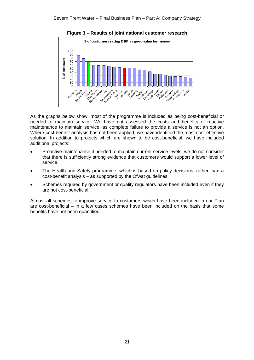**Figure 3 – Results of joint national customer research** 



As the graphs below show, most of the programme is included as being cost-beneficial or needed to maintain service. We have not assessed the costs and benefits of reactive maintenance to maintain service, as complete failure to provide a service is not an option. Where cost-benefit analysis has not been applied, we have identified the most cost-effective solution. In addition to projects which are shown to be cost-beneficial, we have included additional projects:

- Proactive maintenance if needed to maintain current service levels; we do not consider that there is sufficiently strong evidence that customers would support a lower level of service.
- The Health and Safety programme, which is based on policy decisions, rather than a cost-benefit analysis – as supported by the Ofwat guidelines.
- Schemes required by government or quality regulators have been included even if they are not cost-beneficial.

Almost all schemes to improve service to customers which have been included in our Plan are cost-beneficial – in a few cases schemes have been included on the basis that some benefits have not been quantified.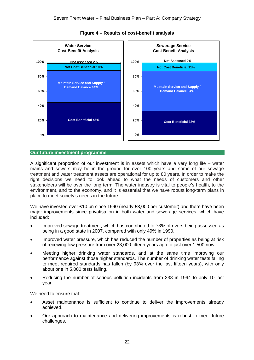

#### **Figure 4 – Results of cost-benefit analysis**

#### **Our future investment programme**

A significant proportion of our investment is in assets which have a very long life – water mains and sewers may be in the ground for over 100 years and some of our sewage treatment and water treatment assets are operational for up to 80 years. In order to make the right decisions we need to look ahead to what the needs of customers and other stakeholders will be over the long term. The water industry is vital to people's health, to the environment, and to the economy, and it is essential that we have robust long-term plans in place to meet society's needs in the future.

We have invested over £10 bn since 1990 (nearly £3,000 per customer) and there have been major improvements since privatisation in both water and sewerage services, which have included:

- Improved sewage treatment, which has contributed to 73% of rivers being assessed as being in a good state in 2007, compared with only 49% in 1990.
- Improved water pressure, which has reduced the number of properties as being at risk of receiving low pressure from over 23,000 fifteen years ago to just over 1,500 now.
- Meeting higher drinking water standards, and at the same time improving our performance against those higher standards. The number of drinking water tests failing to meet required standards has fallen (by 93% over the last fifteen years), with only about one in 5,000 tests failing.
- Reducing the number of serious pollution incidents from 238 in 1994 to only 10 last year.

We need to ensure that:

- Asset maintenance is sufficient to continue to deliver the improvements already achieved.
- Our approach to maintenance and delivering improvements is robust to meet future challenges.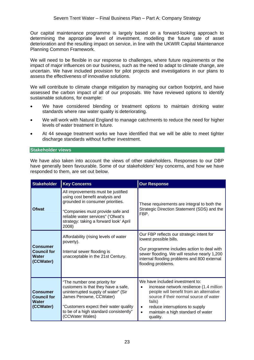Our capital maintenance programme is largely based on a forward-looking approach to determining the appropriate level of investment, modelling the future rate of asset deterioration and the resulting impact on service, in line with the UKWIR Capital Maintenance Planning Common Framework.

We will need to be flexible in our response to challenges, where future requirements or the impact of major influences on our business, such as the need to adapt to climate change, are uncertain. We have included provision for pilot projects and investigations in our plans to assess the effectiveness of innovative solutions.

We will contribute to climate change mitigation by managing our carbon footprint, and have assessed the carbon impact of all of our proposals. We have reviewed options to identify sustainable solutions, for example:

- We have considered blending or treatment options to maintain drinking water standards where raw water quality is deteriorating.
- We will work with Natural England to manage catchments to reduce the need for higher levels of water treatment in future.
- At 44 sewage treatment works we have identified that we will be able to meet tighter discharge standards without further investment.

#### **Stakeholder views**

We have also taken into account the views of other stakeholders. Responses to our DBP have generally been favourable. Some of our stakeholders' key concerns, and how we have responded to them, are set out below.

| <b>Stakeholder</b>                                                 | <b>Key Concerns</b>                                                                                                                                                                                                                         | <b>Our Response</b>                                                                                                                                                                                                                                                                     |
|--------------------------------------------------------------------|---------------------------------------------------------------------------------------------------------------------------------------------------------------------------------------------------------------------------------------------|-----------------------------------------------------------------------------------------------------------------------------------------------------------------------------------------------------------------------------------------------------------------------------------------|
| <b>Ofwat</b>                                                       | All improvements must be justified<br>using cost benefit analysis and<br>grounded in consumer priorities.<br>"Companies must provide safe and<br>reliable water services" ('Ofwat's<br>strategy: taking a forward look' April<br>2008)      | These requirements are integral to both the<br>Strategic Direction Statement (SDS) and the<br>FBP.                                                                                                                                                                                      |
| <b>Consumer</b><br><b>Council for</b><br><b>Water</b><br>(CCWater) | Affordability (rising levels of water<br>poverty).<br>Internal sewer flooding is<br>unacceptable in the 21st Century.                                                                                                                       | Our FBP reflects our strategic intent for<br>lowest possible bills.<br>Our programme includes action to deal with<br>sewer flooding. We will resolve nearly 1,200<br>internal flooding problems and 800 external<br>flooding problems.                                                  |
| <b>Consumer</b><br><b>Council for</b><br><b>Water</b><br>(CCWater) | "The number one priority for<br>customers is that they have a safe,<br>uninterrupted supply of water" (Sir<br>James Perowne, CCWater)<br>"Customers expect their water quality<br>to be of a high standard consistently"<br>(CCWater Wales) | We have included investment to:<br>increase network resilience (1.4 million<br>people will benefit from an alternative<br>source if their normal source of water<br>fails)<br>reduce interruptions to supply<br>$\bullet$<br>maintain a high standard of water<br>$\bullet$<br>quality. |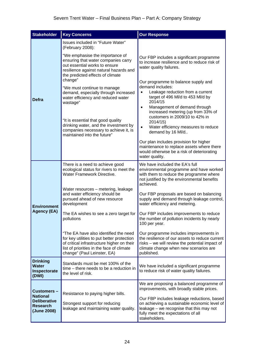| <b>Stakeholder</b>                                                                            | <b>Key Concerns</b>                                                                                                                                                                                                                                                                                                                                                                                                                                                              | <b>Our Response</b>                                                                                                                                                                                                                                                                                                                                                                                                                                                                                                                                                              |
|-----------------------------------------------------------------------------------------------|----------------------------------------------------------------------------------------------------------------------------------------------------------------------------------------------------------------------------------------------------------------------------------------------------------------------------------------------------------------------------------------------------------------------------------------------------------------------------------|----------------------------------------------------------------------------------------------------------------------------------------------------------------------------------------------------------------------------------------------------------------------------------------------------------------------------------------------------------------------------------------------------------------------------------------------------------------------------------------------------------------------------------------------------------------------------------|
|                                                                                               | Issues included in "Future Water"<br>(February 2008):                                                                                                                                                                                                                                                                                                                                                                                                                            |                                                                                                                                                                                                                                                                                                                                                                                                                                                                                                                                                                                  |
| <b>Defra</b>                                                                                  | "We emphasise the importance of<br>ensuring that water companies carry<br>out essential works to ensure<br>resilience against natural hazards and<br>the predicted effects of climate<br>change"<br>"We must continue to manage<br>demand, especially through increased<br>water efficiency and reduced water<br>wastage"<br>"It is essential that good quality<br>drinking water, and the investment by<br>companies necessary to achieve it, is<br>maintained into the future" | Our FBP includes a significant programme<br>to increase resilience and to reduce risk of<br>water quality failures.<br>Our programme to balance supply and<br>demand includes:<br>Leakage reduction from a current<br>$\bullet$<br>target of 496 MI/d to 453 MI/d by<br>2014/15<br>Management of demand through<br>$\bullet$<br>increased metering (up from 33% of<br>customers in 2009/10 to 42% in<br>2014/15)<br>Water efficiency measures to reduce<br>$\bullet$<br>demand by 16 Ml/d<br>Our plan includes provision for higher<br>maintenance to replace assets where there |
|                                                                                               |                                                                                                                                                                                                                                                                                                                                                                                                                                                                                  | would otherwise be a risk of deteriorating<br>water quality.                                                                                                                                                                                                                                                                                                                                                                                                                                                                                                                     |
|                                                                                               | There is a need to achieve good<br>ecological status for rivers to meet the<br><b>Water Framework Directive.</b>                                                                                                                                                                                                                                                                                                                                                                 | We have included the EA's full<br>environmental programme and have worked<br>with them to reduce the programme where<br>not justified by the environmental benefits<br>achieved.                                                                                                                                                                                                                                                                                                                                                                                                 |
| <b>Environment</b>                                                                            | Water resources - metering, leakage<br>and water efficiency should be<br>pursued ahead of new resource<br>development                                                                                                                                                                                                                                                                                                                                                            | Our FBP proposals are based on balancing<br>supply and demand through leakage control,<br>water efficiency and metering.                                                                                                                                                                                                                                                                                                                                                                                                                                                         |
| <b>Agency (EA)</b>                                                                            | The EA wishes to see a zero target for<br>pollutions                                                                                                                                                                                                                                                                                                                                                                                                                             | Our FBP includes improvements to reduce<br>the number of pollution incidents by nearly<br>100 per year.                                                                                                                                                                                                                                                                                                                                                                                                                                                                          |
|                                                                                               | "The EA have also identified the need<br>for key utilities to put better protection<br>of critical infrastructure higher on their<br>list of priorities in the face of climate<br>change" (Paul Leinster, EA)                                                                                                                                                                                                                                                                    | Our programme includes improvements in<br>the resilience of our assets to reduce current<br>risks - we will review the potential impact of<br>climate change when new scenarios are<br>published.                                                                                                                                                                                                                                                                                                                                                                                |
| <b>Drinking</b><br><b>Water</b><br>Inspectorate<br>(DWI)                                      | Standards must be met 100% of the<br>time - there needs to be a reduction in<br>the level of risk.                                                                                                                                                                                                                                                                                                                                                                               | We have included a significant programme<br>to reduce risk of water quality failures.                                                                                                                                                                                                                                                                                                                                                                                                                                                                                            |
| <b>Customers-</b><br><b>National</b><br><b>Deliberative</b><br><b>Research</b><br>(June 2008) | Resistance to paying higher bills.<br>Strongest support for reducing<br>leakage and maintaining water quality.                                                                                                                                                                                                                                                                                                                                                                   | We are proposing a balanced programme of<br>improvements, with broadly stable prices.<br>Our FBP includes leakage reductions, based<br>on achieving a sustainable economic level of<br>leakage - we recognise that this may not<br>fully meet the expectations of all<br>stakeholders.                                                                                                                                                                                                                                                                                           |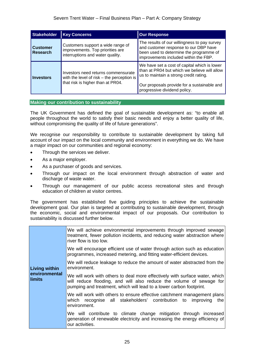| <b>Stakeholder</b>                 | <b>Key Concerns</b>                                                                                                      | <b>Our Response</b>                                                                                                                                                                                                   |
|------------------------------------|--------------------------------------------------------------------------------------------------------------------------|-----------------------------------------------------------------------------------------------------------------------------------------------------------------------------------------------------------------------|
| <b>Customer</b><br><b>Research</b> | Customers support a wide range of<br>improvements. Top priorities are<br>interruptions and water quality.                | The results of our willingness to pay survey<br>and customer response to our DBP have<br>been used to determine the programme of<br>improvements included within the FBP.                                             |
| <b>Investors</b>                   | Investors need returns commensurate<br>with the level of risk $-$ the perception is<br>that risk is higher than at PR04. | We have set a cost of capital which is lower<br>than at PR04 but which we believe will allow<br>us to maintain a strong credit rating.<br>Our proposals provide for a sustainable and<br>progressive dividend policy. |

#### **Making our contribution to sustainability**

The UK Government has defined the goal of sustainable development as: "to enable all people throughout the world to satisfy their basic needs and enjoy a better quality of life, without compromising the quality of life of future generations".

We recognise our responsibility to contribute to sustainable development by taking full account of our impact on the local community and environment in everything we do. We have a major impact on our communities and regional economy:

- Through the services we deliver.
- As a major employer.
- As a purchaser of goods and services.
- Through our impact on the local environment through abstraction of water and discharge of waste water.
- Through our management of our public access recreational sites and through education of children at visitor centres.

The government has established five guiding principles to achieve the sustainable development goal. Our plan is targeted at contributing to sustainable development, through the economic, social and environmental impact of our proposals. Our contribution to sustainability is discussed further below.

|                                | We will achieve environmental improvements through improved sewage<br>treatment, fewer pollution incidents, and reducing water abstraction where<br>river flow is too low.                                                |
|--------------------------------|---------------------------------------------------------------------------------------------------------------------------------------------------------------------------------------------------------------------------|
|                                | We will encourage efficient use of water through action such as education<br>programmes, increased metering, and fitting water-efficient devices.                                                                         |
| <b>Living within</b>           | We will reduce leakage to reduce the amount of water abstracted from the<br>environment.                                                                                                                                  |
| environmental<br><b>limits</b> | We will work with others to deal more effectively with surface water, which<br>will reduce flooding, and will also reduce the volume of sewage for<br>pumping and treatment, which will lead to a lower carbon footprint. |
|                                | We will work with others to ensure effective catchment management plans<br>which recognise all stakeholders' contribution to<br>improving<br>the<br>environment.                                                          |
|                                | We will contribute to climate change mitigation through increased<br>generation of renewable electricity and increasing the energy efficiency of<br>our activities.                                                       |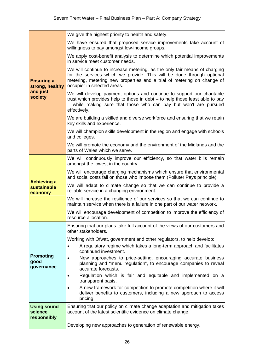| <b>Ensuring a</b><br>strong, healthy<br>and just<br>society | We give the highest priority to health and safety.                                                                                                                                                                                                          |
|-------------------------------------------------------------|-------------------------------------------------------------------------------------------------------------------------------------------------------------------------------------------------------------------------------------------------------------|
|                                                             | We have ensured that proposed service improvements take account of<br>willingness to pay amongst low-income groups.                                                                                                                                         |
|                                                             | We apply cost-benefit analysis to determine which potential improvements<br>in service meet customer needs.                                                                                                                                                 |
|                                                             | We will continue to increase metering, as the only fair means of charging<br>for the services which we provide. This will be done through optional<br>metering, metering new properties and a trial of metering on change of<br>occupier in selected areas. |
|                                                             | We will develop payment options and continue to support our charitable<br>trust which provides help to those in debt - to help those least able to pay<br>- while making sure that those who can pay but won't are pursued<br>effectively.                  |
|                                                             | We are building a skilled and diverse workforce and ensuring that we retain<br>key skills and experience.                                                                                                                                                   |
|                                                             | We will champion skills development in the region and engage with schools<br>and colleges.                                                                                                                                                                  |
|                                                             | We will promote the economy and the environment of the Midlands and the<br>parts of Wales which we serve.                                                                                                                                                   |
| <b>Achieving a</b><br>sustainable<br>economy                | We will continuously improve our efficiency, so that water bills remain<br>amongst the lowest in the country.                                                                                                                                               |
|                                                             | We will encourage charging mechanisms which ensure that environmental<br>and social costs fall on those who impose them (Polluter Pays principle).                                                                                                          |
|                                                             | We will adapt to climate change so that we can continue to provide a<br>reliable service in a changing environment.                                                                                                                                         |
|                                                             | We will increase the resilience of our services so that we can continue to<br>maintain service when there is a failure in one part of our water network.                                                                                                    |
|                                                             | We will encourage development of competition to improve the efficiency of<br>resource allocation.                                                                                                                                                           |
| <b>Promoting</b><br>good<br>governance                      | Ensuring that our plans take full account of the views of our customers and<br>other stakeholders.                                                                                                                                                          |
|                                                             | Working with Ofwat, government and other regulators, to help develop:<br>A regulatory regime which takes a long-term approach and facilitates<br>continued investment.                                                                                      |
|                                                             | New approaches to price-setting, encouraging accurate business<br>$\bullet$<br>planning and "menu regulation", to encourage companies to reveal<br>accurate forecasts.                                                                                      |
|                                                             | Regulation which is fair and equitable and implemented on a<br>transparent basis.                                                                                                                                                                           |
|                                                             | A new framework for competition to promote competition where it will<br>deliver benefits to customers, including a new approach to access<br>pricing.                                                                                                       |
| <b>Using sound</b><br>science<br>responsibly                | Ensuring that our policy on climate change adaptation and mitigation takes<br>account of the latest scientific evidence on climate change.                                                                                                                  |
|                                                             | Developing new approaches to generation of renewable energy.                                                                                                                                                                                                |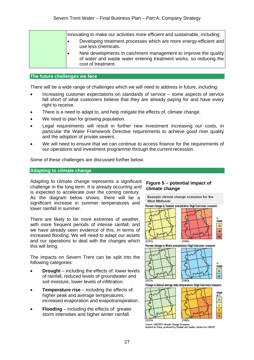| Innovating to make our activities more efficient and sustainable, including:                                                                                             |
|--------------------------------------------------------------------------------------------------------------------------------------------------------------------------|
| Developing treatment processes which are more energy-efficient and<br>$\bullet$<br>use less chemicals.                                                                   |
| New developments in catchment management to improve the quality<br>$\bullet$<br>of water and waste water entering treatment works, so reducing the<br>cost of treatment. |

#### **The future challenges we face**

There will be a wide range of challenges which we will need to address in future, including:

- Increasing customer expectations on standards of service some aspects of service fall short of what customers believe that they are already paying for and have every right to receive.
- There is a need to adapt to, and help mitigate the effects of, climate change.
- We need to plan for growing population.
- Legal requirements will result in further new investment increasing our costs, in particular the Water Framework Directive requirements to achieve good river quality and the adoption of private sewers.
- We will need to ensure that we can continue to access finance for the requirements of our operations and investment programme through the current recession.

Some of these challenges are discussed further below.

#### **Adapting to climate change**

Adapting to climate change represents a significant challenge in the long term. It is already occurring and is expected to accelerate over the coming century. As the diagram below shows, there will be a significant increase in summer temperatures and lower rainfall in summer.

There are likely to be more extremes of weather, with more frequent periods of intense rainfall, and we have already seen evidence of this, in terms of increased flooding. We will need to adapt our assets and our operations to deal with the changes which this will bring.

The impacts on Severn Trent can be split into the following categories:

- **Drought** including the effects of: lower levels of rainfall, reduced levels of groundwater and soil moisture, lower levels of infiltration.
- **Temperature rise** including the effects of: higher peak and average temperatures. increased evaporation and evapotranspiration.
- **Flooding**  including the effects of: greater storm intensities and higher winter rainfall.

#### **Figure 5 – potential impact of climate change**



(funded by Defra, produced by Tyndall and Hadley Centres for UKCIP)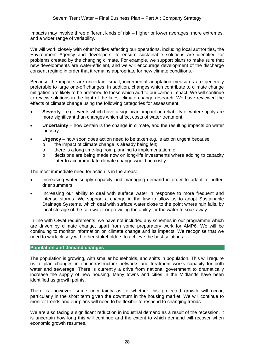Impacts may involve three different kinds of risk – higher or lower averages, more extremes, and a wider range of variability.

We will work closely with other bodies affecting our operations, including local authorities, the Environment Agency and developers, to ensure sustainable solutions are identified for problems created by the changing climate. For example, we support plans to make sure that new developments are water-efficient, and we will encourage development of the discharge consent regime in order that it remains appropriate for new climate conditions.

Because the impacts are uncertain, small, incremental adaptation measures are generally preferable to large one-off changes. In addition, changes which contribute to climate change mitigation are likely to be preferred to those which add to our carbon impact. We will continue to review solutions in the light of the latest climate change research. We have reviewed the effects of climate change using the following categories for assessment:

- **Severity** e.g. events which have a significant impact on reliability of water supply are more significant than changes which affect costs of water treatment.
- **Uncertainty**  how certain is the change in climate, and the resulting impacts on water industry
- **Urgency**  how soon does action need to be taken e.g. is action urgent because:
	- o the impact of climate change is already being felt;
	- o there is a long time-lag from planning to implementation; or
	- o decisions are being made now on long-life investments where adding to capacity later to accommodate climate change would be costly.

The most immediate need for action is in the areas:

- Increasing water supply capacity and managing demand in order to adapt to hotter, drier summers.
- Increasing our ability to deal with surface water in response to more frequent and intense storms. We support a change in the law to allow us to adopt Sustainable Drainage Systems, which deal with surface water close to the point where rain falls, by local storage of the rain water or providing the ability for the water to soak away.

In line with Ofwat requirements, we have not included any schemes in our programme which are driven by climate change, apart from some preparatory work for AMP6. We will be continuing to monitor information on climate change and its impacts. We recognise that we need to work closely with other stakeholders to achieve the best solutions.

#### **Population and demand changes**

The population is growing, with smaller households, and shifts in population. This will require us to plan changes in our infrastructure networks and treatment works capacity for both water and sewerage. There is currently a drive from national government to dramatically increase the supply of new housing. Many towns and cities in the Midlands have been identified as growth points.

There is, however, some uncertainty as to whether this projected growth will occur, particularly in the short term given the downturn in the housing market. We will continue to monitor trends and our plans will need to be flexible to respond to changing trends.

We are also facing a significant reduction in industrial demand as a result of the recession. It is uncertain how long this will continue and the extent to which demand will recover when economic growth resumes.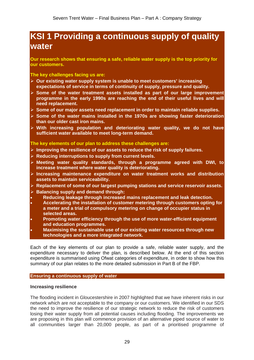### **KSI 1 Providing a continuous supply of quality water**

**Our research shows that ensuring a safe, reliable water supply is the top priority for our customers.** 

**The key challenges facing us are:** 

- ¾ **Our existing water supply system is unable to meet customers' increasing expectations of service in terms of continuity of supply, pressure and quality.**
- ¾ **Some of the water treatment assets installed as part of our large improvement programme in the early 1990s are reaching the end of their useful lives and will need replacement.**
- ¾ **Some of our major assets need replacement in order to maintain reliable supplies.**
- ¾ **Some of the water mains installed in the 1970s are showing faster deterioration than our older cast iron mains.**
- ¾ **With increasing population and deteriorating water quality, we do not have sufficient water available to meet long-term demand.**

**The key elements of our plan to address these challenges are:**

- ¾ **Improving the resilience of our assets to reduce the risk of supply failures.**
- ¾ **Reducing interruptions to supply from current levels.**
- ¾ **Meeting water quality standards, through a programme agreed with DWI, to increase treatment where water quality is deteriorating.**
- ¾ **Increasing maintenance expenditure on water treatment works and distribution assets to maintain serviceability.**
- ¾ **Replacement of some of our largest pumping stations and service reservoir assets.**
- ¾ **Balancing supply and demand through:**
- **Reducing leakage through increased mains replacement and leak detection.**
- **Accelerating the installation of customer metering through customers opting for a meter and a trial of compulsory metering on change of occupier status in selected areas.**
- **Promoting water efficiency through the use of more water-efficient equipment and education programmes.**
- **Maximising the sustainable use of our existing water resources through new technologies and a more integrated network.**

Each of the key elements of our plan to provide a safe, reliable water supply, and the expenditure necessary to deliver the plan, is described below. At the end of this section expenditure is summarised using Ofwat categories of expenditure, in order to show how this summary of our plan relates to the more detailed submission in Part B of the FBP.

#### **Ensuring a continuous supply of water**

#### **Increasing resilience**

The flooding incident in Gloucestershire in 2007 highlighted that we have inherent risks in our network which are not acceptable to the company or our customers. We identified in our SDS the need to improve the resilience of our strategic network to reduce the risk of customers losing their water supply from all potential causes including flooding. The improvements we are proposing in this plan will commence provision of an alternative piped source of water to all communities larger than 20,000 people, as part of a prioritised programme of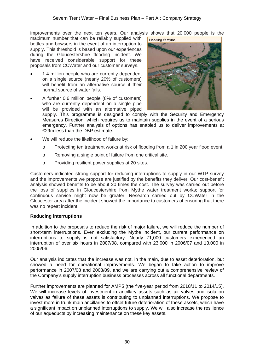improvements over the next ten years. Our analysis shows that 20,000 people is the

maximum number that can be reliably supplied with bottles and bowsers in the event of an interruption to supply. This threshold is based upon our experiences during the Gloucestershire flooding incident. We have received considerable support for these proposals from CCWater and our customer surveys.

- 1.4 million people who are currently dependent on a single source (nearly 20% of customers) will benefit from an alternative source if their normal source of water fails.
- A further 0.6 million people (8% of customers) who are currently dependent on a single pipe will be provided with an alternative piped



supply. This programme is designed to comply with the Security and Emergency Measures Direction, which requires us to maintain supplies in the event of a serious emergency. Further analysis of options has enabled us to deliver improvements at £29m less than the DBP estimate.

- We will reduce the likelihood of failure by:
	- o Protecting ten treatment works at risk of flooding from a 1 in 200 year flood event.
	- o Removing a single point of failure from one critical site.
	- o Providing resilient power supplies at 20 sites.

Customers indicated strong support for reducing interruptions to supply in our WTP survey and the improvements we propose are justified by the benefits they deliver. Our cost-benefit analysis showed benefits to be about 20 times the cost. The survey was carried out before the loss of supplies in Gloucestershire from Mythe water treatment works; support for continuous service might now be greater. Research carried out by CCWater in the Gloucester area after the incident showed the importance to customers of ensuring that there was no repeat incident.

#### **Reducing interruptions**

In addition to the proposals to reduce the risk of major failure, we will reduce the number of short-term interruptions. Even excluding the Mythe incident, our current performance on interruptions to supply is not satisfactory. Nearly 71,000 customers experienced an interruption of over six hours in 2007/08, compared with 23,000 in 2006/07 and 13,000 in 2005/06.

Our analysis indicates that the increase was not, in the main, due to asset deterioration, but showed a need for operational improvements. We began to take action to improve performance in 2007/08 and 2008/09, and we are carrying out a comprehensive review of the Company's supply interruption business processes across all functional departments.

Further improvements are planned for AMP5 (the five-year period from 2010/11 to 2014/15). We will increase levels of investment in ancillary assets such as air valves and isolation valves as failure of these assets is contributing to unplanned interruptions. We propose to invest more in trunk main ancillaries to offset future deterioration of these assets, which have a significant impact on unplanned interruptions to supply. We will also increase the resilience of our aqueducts by increasing maintenance on these key assets.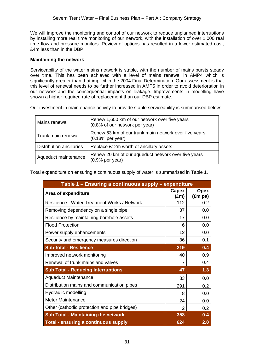We will improve the monitoring and control of our network to reduce unplanned interruptions by installing more real time monitoring of our network, with the installation of over 1,000 real time flow and pressure monitors. Review of options has resulted in a lower estimated cost, £4m less than in the DBP.

#### **Maintaining the network**

Serviceability of the water mains network is stable, with the number of mains bursts steady over time. This has been achieved with a level of mains renewal in AMP4 which is significantly greater than that implicit in the 2004 Final Determination. Our assessment is that this level of renewal needs to be further increased in AMP5 in order to avoid deterioration in our network and the consequential impacts on leakage. Improvements in modelling have shown a higher required rate of replacement than our DBP estimate.

Our investment in maintenance activity to provide stable serviceability is summarised below:

| Mains renewal                   | Renew 1,600 km of our network over five years<br>(0.8% of our network per year) |
|---------------------------------|---------------------------------------------------------------------------------|
| Trunk main renewal              | Renew 63 km of our trunk main network over five years<br>$(0.13%$ per year)     |
| <b>Distribution ancillaries</b> | Replace £12m worth of ancillary assets                                          |
| Aqueduct maintenance            | Renew 20 km of our aqueduct network over five years<br>$(0.9%$ per year)        |

Total expenditure on ensuring a continuous supply of water is summarised in Table 1.

| Table 1 - Ensuring a continuous supply - expenditure |     |                        |  |  |
|------------------------------------------------------|-----|------------------------|--|--|
| Area of expenditure                                  |     | <b>Opex</b><br>(£m pa) |  |  |
| Resilience - Water Treatment Works / Network         | 112 | 0.2                    |  |  |
| Removing dependency on a single pipe                 | 37  | 0.0                    |  |  |
| Resilience by maintaining borehole assets            | 17  | 0.0                    |  |  |
| <b>Flood Protection</b>                              | 6   | 0.0                    |  |  |
| Power supply enhancements                            | 12  | 0.0                    |  |  |
| Security and emergency measures direction            | 36  | 0.1                    |  |  |
| <b>Sub-total - Resilience</b>                        | 219 | 0.4                    |  |  |
| Improved network monitoring                          | 40  | 0.9                    |  |  |
| Renewal of trunk mains and valves                    |     | 0.4                    |  |  |
| <b>Sub Total - Reducing Interruptions</b>            |     | 1.3                    |  |  |
| <b>Aqueduct Maintenance</b>                          | 33  | 0.0                    |  |  |
| Distribution mains and communication pipes           | 291 | 0.2                    |  |  |
| Hydraulic modelling                                  | 8   | 0.0                    |  |  |
| <b>Meter Maintenance</b>                             | 24  | 0.0                    |  |  |
| Other (cathodic protection and pipe bridges)         | 2   | 0.2                    |  |  |
| <b>Sub Total - Maintaining the network</b>           | 358 | 0.4                    |  |  |
| <b>Total - ensuring a continuous supply</b>          | 624 | 2.0                    |  |  |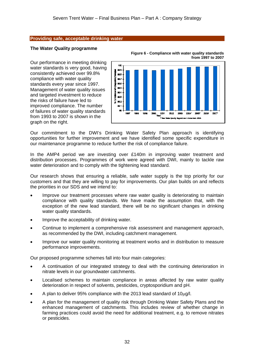#### **Providing safe, acceptable drinking water**

#### **The Water Quality programme**

Our performance in meeting drinking water standards is very good, having consistently achieved over 99.8% compliance with water quality standards every year since 1997. Management of water quality issues and targeted investment to reduce the risks of failure have led to improved compliance. The number of failures of water quality standards from 1993 to 2007 is shown in the graph on the right.



**Figure 6 - Compliance with water quality standards from 1997 to 2007** 

Our commitment to the DWI's Drinking Water Safety Plan approach is identifying opportunities for further improvement and we have identified some specific expenditure in our maintenance programme to reduce further the risk of compliance failure.

In the AMP4 period we are investing over £140m in improving water treatment and distribution processes. Programmes of work were agreed with DWI, mainly to tackle raw water deterioration and to comply with the tightening lead standard.

Our research shows that ensuring a reliable, safe water supply is the top priority for our customers and that they are willing to pay for improvements. Our plan builds on and reflects the priorities in our SDS and we intend to:

- Improve our treatment processes where raw water quality is deteriorating to maintain compliance with quality standards. We have made the assumption that, with the exception of the new lead standard, there will be no significant changes in drinking water quality standards.
- Improve the acceptability of drinking water.
- Continue to implement a comprehensive risk assessment and management approach, as recommended by the DWI, including catchment management.
- Improve our water quality monitoring at treatment works and in distribution to measure performance improvements..

Our proposed programme schemes fall into four main categories:

- A continuation of our integrated strategy to deal with the continuing deterioration in nitrate levels in our groundwater catchments.
- Localised schemes to maintain compliance in areas affected by raw water quality deterioration in respect of solvents, pesticides, cryptosporidium and pH.
- A plan to deliver 95% compliance with the 2013 lead standard of 10µg/l.
- A plan for the management of quality risk through Drinking Water Safety Plans and the enhanced management of catchments. This includes review of whether change in farming practices could avoid the need for additional treatment, e.g. to remove nitrates or pesticides.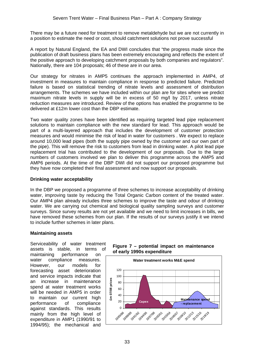There may be a future need for treatment to remove metaldehyde but we are not currently in a position to estimate the need or cost, should catchment solutions not prove successful

A report by Natural England, the EA and DWI concludes that "the progress made since the publication of draft business plans has been extremely encouraging and reflects the extent of the positive approach to developing catchment proposals by both companies and regulators". Nationally, there are 104 proposals; 46 of these are in our area.

Our strategy for nitrates in AMP5 continues the approach implemented in AMP4, of investment in measures to maintain compliance in response to predicted failure. Predicted failure is based on statistical trending of nitrate levels and assessment of distribution arrangements. The schemes we have included within our plan are for sites where we predict maximum nitrate levels in supply will be in excess of 50 mg/l by 2017, unless nitrate reduction measures are introduced. Review of the options has enabled the programme to be delivered at £12m lower cost than the DBP estimate.

Two water quality zones have been identified as requiring targeted lead pipe replacement solutions to maintain compliance with the new standard for lead. This approach would be part of a multi-layered approach that includes the development of customer protection measures and would minimise the risk of lead in water for customers . We expect to replace around 10,000 lead pipes (both the supply pipe owned by the customer and our own part of the pipe). This will remove the risk to customers from lead in drinking water. A pilot lead pipe replacement trial has contributed to the development of our proposals. Due to the large numbers of customers involved we plan to deliver this programme across the AMP5 and AMP6 periods. At the time of the DBP DWI did not support our proposed programme but they have now completed their final assessment and now support our proposals.

#### **Drinking water acceptability**

In the DBP we proposed a programme of three schemes to increase acceptability of drinking water, improving taste by reducing the Total Organic Carbon content of the treated water. Our AMP4 plan already includes three schemes to improve the taste and odour of drinking water. We are carrying out chemical and biological quality sampling surveys and customer surveys. Since survey results are not yet available and we need to limit increases in bills, we have removed these schemes from our plan. If the results of our surveys justify it we intend to include further schemes in later plans.

#### **Maintaining assets**

Serviceability of water treatment assets is stable, in terms of maintaining performance on water compliance measures. However, our models for forecasting asset deterioration and service impacts indicate that an increase in maintenance spend at water treatment works will be needed in AMP5 in order to maintain our current high performance of compliance against standards. This results mainly from the high level of expenditure in AMP1 (1990/91 to 1994/95); the mechanical and



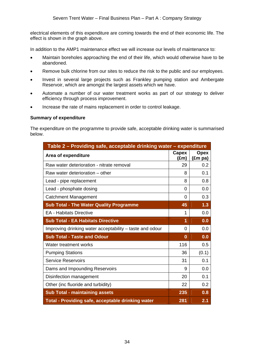electrical elements of this expenditure are coming towards the end of their economic life. The effect is shown in the graph above.

In addition to the AMP1 maintenance effect we will increase our levels of maintenance to:

- Maintain boreholes approaching the end of their life, which would otherwise have to be abandoned.
- Remove bulk chlorine from our sites to reduce the risk to the public and our employees.
- Invest in several large projects such as Frankley pumping station and Ambergate Reservoir, which are amongst the largest assets which we have.
- Automate a number of our water treatment works as part of our strategy to deliver efficiency through process improvement.
- Increase the rate of mains replacement in order to control leakage.

#### **Summary of expenditure**

The expenditure on the programme to provide safe, acceptable drinking water is summarised below.

| Table 2 - Providing safe, acceptable drinking water - expenditure |                |                                 |  |  |
|-------------------------------------------------------------------|----------------|---------------------------------|--|--|
| Area of expenditure                                               |                | <b>Opex</b><br>$(\text{Em pa})$ |  |  |
| Raw water deterioration - nitrate removal                         | 29             | 0.2                             |  |  |
| Raw water deterioration – other                                   |                | 0.1                             |  |  |
| Lead - pipe replacement                                           | 8              | 0.8                             |  |  |
| Lead - phosphate dosing                                           | $\Omega$       | 0.0                             |  |  |
| <b>Catchment Management</b>                                       | $\overline{0}$ | 0.3                             |  |  |
| <b>Sub Total - The Water Quality Programme</b>                    | 45             | 1.3                             |  |  |
| <b>EA - Habitats Directive</b>                                    | 1              | 0.0                             |  |  |
| <b>Sub Total - EA Habitats Directive</b>                          |                | 0.0                             |  |  |
| Improving drinking water acceptability – taste and odour          |                | 0.0                             |  |  |
| <b>Sub Total - Taste and Odour</b>                                |                | 0.0                             |  |  |
| Water treatment works                                             | 116            | 0.5                             |  |  |
| <b>Pumping Stations</b>                                           |                | (0.1)                           |  |  |
| <b>Service Reservoirs</b>                                         |                | 0.1                             |  |  |
| Dams and Impounding Reservoirs                                    |                | 0.0                             |  |  |
| Disinfection management                                           |                | 0.1                             |  |  |
| Other (inc fluoride and turbidity)                                |                | 0.2                             |  |  |
| <b>Sub Total - maintaining assets</b>                             |                | 0.8                             |  |  |
| Total - Providing safe, acceptable drinking water                 |                | 2.1                             |  |  |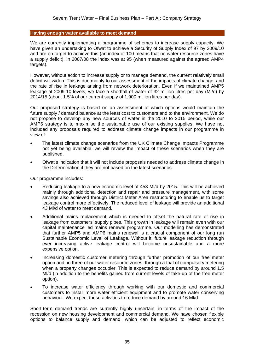#### **Having enough water available to meet demand**

We are currently implementing a programme of schemes to increase supply capacity. We have given an undertaking to Ofwat to achieve a Security of Supply Index of 97 by 2009/10 and are on target to achieve this (an index of 100 means that no water resource zones have a supply deficit). In 2007/08 the index was at 95 (when measured against the agreed AMP4 targets).

However, without action to increase supply or to manage demand, the current relatively small deficit will widen. This is due mainly to our assessment of the impacts of climate change, and the rate of rise in leakage arising from network deterioration. Even if we maintained AMP5 leakage at 2009-10 levels, we face a shortfall of water of 32 million litres per day (Ml/d) by 2014/15 (about 1.5% of our current supply of 1,900 million litres per day).

Our proposed strategy is based on an assessment of which options would maintain the future supply / demand balance at the least cost to customers and to the environment. We do not propose to develop any new sources of water in the 2010 to 2015 period, while our AMP6 strategy is to maximise the sustainable use of our existing supplies. We have not included any proposals required to address climate change impacts in our programme in view of:

- The latest climate change scenarios from the UK Climate Change Impacts Programme not yet being available; we will review the impact of these scenarios when they are published.
- Ofwat's indication that it will not include proposals needed to address climate change in the Determination if they are not based on the latest scenarios.

Our programme includes:

- Reducing leakage to a new economic level of 453 Ml/d by 2015. This will be achieved mainly through additional detection and repair and pressure management, with some savings also achieved through District Meter Area restructuring to enable us to target leakage control more effectively. The reduced level of leakage will provide an additional 43 Ml/d of water to meet demand.
- Additional mains replacement which is needed to offset the natural rate of rise in leakage from customers' supply pipes. This growth in leakage will remain even with our capital maintenance led mains renewal programme. Our modelling has demonstrated that further AMP5 and AMP6 mains renewal is a crucial component of our long run Sustainable Economic Level of Leakage. Without it, future leakage reduction through ever increasing active leakage control will become unsustainable and a more expensive option.
- Increasing domestic customer metering through further promotion of our free meter option and, in three of our water resource zones, through a trial of compulsory metering when a property changes occupier. This is expected to reduce demand by around 1.5 Ml/d (in addition to the benefits gained from current levels of take-up of the free meter option).
- To increase water efficiency through working with our domestic and commercial customers to install more water efficient equipment and to promote water conserving behaviour. We expect these activities to reduce demand by around 16 Ml/d.

Short-term demand trends are currently highly uncertain, in terms of the impact of the recession on new housing development and commercial demand. We have chosen flexible options to balance supply and demand, which can be adjusted to reflect economic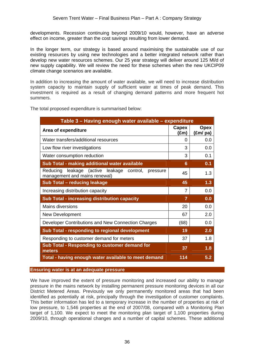developments. Recession continuing beyond 2009/10 would, however, have an adverse effect on income, greater than the cost savings resulting from lower demand.

In the longer term, our strategy is based around maximising the sustainable use of our existing resources by using new technologies and a better integrated network rather than develop new water resources schemes. Our 25 year strategy will deliver around 125 Ml/d of new supply capability. We will review the need for these schemes when the new UKCIP09 climate change scenarios are available.

In addition to increasing the amount of water available, we will need to increase distribution system capacity to maintain supply of sufficient water at times of peak demand. This investment is required as a result of changing demand patterns and more frequent hot summers.

The total proposed expenditure is summarised below:

| Table 3 – Having enough water available – expenditure                                     |                        |                         |  |  |
|-------------------------------------------------------------------------------------------|------------------------|-------------------------|--|--|
| Area of expenditure                                                                       | Capex<br>$(\text{Em})$ | <b>Opex</b><br>(£m/ pa) |  |  |
| Water transfers/additional resources                                                      | 0                      | 0.0                     |  |  |
| Low flow river investigations                                                             | 3                      | 0.0                     |  |  |
| Water consumption reduction                                                               | 3                      | 0.1                     |  |  |
| Sub Total - making additional water available                                             | 6                      | 0.1                     |  |  |
| leakage (active leakage control,<br>Reducing<br>pressure<br>management and mains renewal) | 45                     | 1.3                     |  |  |
| Sub Total - reducing leakage                                                              | 45                     | 1.3                     |  |  |
| Increasing distribution capacity                                                          | 7                      | 0.0                     |  |  |
| <b>Sub Total - increasing distribution capacity</b>                                       | 7                      | 0.0                     |  |  |
| Mains diversions                                                                          | 20                     | 0.0                     |  |  |
| New Development                                                                           | 67                     | 2.0                     |  |  |
| Developer Contributions and New Connection Charges                                        | (68)                   | 0.0                     |  |  |
| <b>Sub Total - responding to regional development</b>                                     | 19                     | 2.0                     |  |  |
| Responding to customer demand for meters                                                  | 37                     | 1.8                     |  |  |
| <b>Sub Total - Responding to customer demand for</b><br>meters                            | 37                     | 1.8                     |  |  |
| Total - having enough water available to meet demand                                      | 114                    | 5.2                     |  |  |

#### **Ensuring water is at an adequate pressure**

We have improved the extent of pressure monitoring and increased our ability to manage pressure in the mains network by installing permanent pressure monitoring devices in all our District Metered Areas. Previously we only permanently monitored areas that had been identified as potentially at risk, principally through the investigation of customer complaints. This better information has led to a temporary increase in the number of properties at risk of low pressure, to 1,546 properties at the end of 2007/08, compared with a Monitoring Plan target of 1,100. We expect to meet the monitoring plan target of 1,100 properties during 2009/10, through operational changes and a number of capital schemes. These additional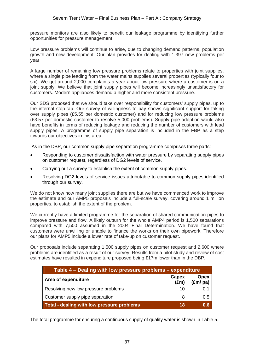pressure monitors are also likely to benefit our leakage programme by identifying further opportunities for pressure management.

Low pressure problems will continue to arise, due to changing demand patterns, population growth and new development. Our plan provides for dealing with 1,397 new problems per year.

A large number of remaining low pressure problems relate to properties with joint supplies, where a single pipe leading from the water mains supplies several properties (typically four to six). We get around 2,000 complaints a year about low pressure where a customer is on a joint supply. We believe that joint supply pipes will become increasingly unsatisfactory for customers. Modern appliances demand a higher and more consistent pressure.

Our SDS proposed that we should take over responsibility for customers' supply pipes, up to the internal stop-tap. Our survey of willingness to pay shows significant support for taking over supply pipes (£5.55 per domestic customer) and for reducing low pressure problems (£3.57 per domestic customer to resolve 5,000 problems). Supply pipe adoption would also have benefits in terms of reducing leakage and reducing the number of customers with lead supply pipes. A programme of supply pipe separation is included in the FBP as a step towards our objectives in this area.

As in the DBP, our common supply pipe separation programme comprises three parts:

- Responding to customer dissatisfaction with water pressure by separating supply pipes on customer request, regardless of DG2 levels of service.
- Carrying out a survey to establish the extent of common supply pipes.
- Resolving DG2 levels of service issues attributable to common supply pipes identified through our survey.

We do not know how many joint supplies there are but we have commenced work to improve the estimate and our AMP5 proposals include a full-scale survey, covering around 1 million properties, to establish the extent of the problem.

We currently have a limited programme for the separation of shared communication pipes to improve pressure and flow. A likely outturn for the whole AMP4 period is 1,500 separations compared with 7,500 assumed in the 2004 Final Determination. We have found that customers were unwilling or unable to finance the works on their own pipework. Therefore our plans for AMP5 include a lower rate of take-up on customer request.

Our proposals include separating 1,500 supply pipes on customer request and 2,600 where problems are identified as a result of our survey. Results from a pilot study and review of cost estimates have resulted in expenditure proposed being £17m lower than in the DBP.

| Table 4 – Dealing with low pressure problems – expenditure |                        |                           |  |  |
|------------------------------------------------------------|------------------------|---------------------------|--|--|
| Area of expenditure                                        | Capex<br>$(\text{Em})$ | <b>Opex</b><br>$(fm)$ pa) |  |  |
| Resolving new low pressure problems                        | 10                     | 0.1                       |  |  |
| Customer supply pipe separation                            | 8                      | 0.5                       |  |  |
| Total - dealing with low pressure problems                 | 18                     | 0.6                       |  |  |

The total programme for ensuring a continuous supply of quality water is shown in Table 5.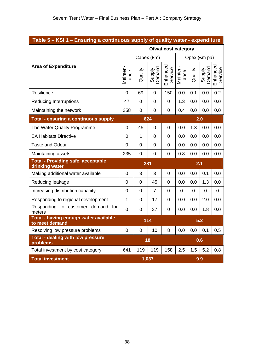| Table 5 – KSI 1 – Ensuring a continuous supply of quality water - expenditure <sub>i</sub> |  |  |  |  |
|--------------------------------------------------------------------------------------------|--|--|--|--|
|                                                                                            |  |  |  |  |

|                                                             | <b>Ofwat cost category</b> |              |                  |                     |                  |              |                  |                     |
|-------------------------------------------------------------|----------------------------|--------------|------------------|---------------------|------------------|--------------|------------------|---------------------|
|                                                             |                            |              | Capex (£m)       |                     |                  | Opex (£m pa) |                  |                     |
| <b>Area of Expenditure</b>                                  | Mainten-<br>ance           | Quality      | Supply<br>Demand | Enhanced<br>Service | Mainten-<br>ance | Quality      | Demand<br>Supply | Enhanced<br>Service |
| Resilience                                                  | $\overline{0}$             | 69           | $\overline{0}$   | 150                 | 0.0              | 0.1          | 0.0              | 0.2                 |
| <b>Reducing Interruptions</b>                               | 47                         | $\Omega$     | $\overline{0}$   | $\overline{0}$      | 1.3              | 0.0          | 0.0              | 0.0                 |
| Maintaining the network                                     | 358                        | $\mathbf 0$  | 0                | $\overline{0}$      | 0.4              | 0.0          | 0.0              | 0.0                 |
| <b>Total - ensuring a continuous supply</b>                 |                            |              | 624              |                     |                  |              | 2.0              |                     |
| The Water Quality Programme                                 | $\mathbf 0$                | 45           | $\mathbf 0$      | $\mathbf 0$         | 0.0              | 1.3          | 0.0              | 0.0                 |
| <b>EA Habitats Directive</b>                                | $\overline{0}$             | $\mathbf{1}$ | $\mathbf 0$      | $\overline{0}$      | 0.0              | 0.0          | 0.0              | 0.0                 |
| <b>Taste and Odour</b>                                      | $\mathbf 0$                | 0            | 0                | $\mathbf 0$         | 0.0              | 0.0          | 0.0              | 0.0                 |
| Maintaining assets                                          | 235                        | 0            | $\overline{0}$   | $\overline{0}$      | 0.8              | 0.0          | 0.0              | 0.0                 |
| <b>Total - Providing safe, acceptable</b><br>drinking water |                            |              | 281              |                     | 2.1              |              |                  |                     |
| Making additional water available                           | $\overline{0}$             | 3            | 3                | $\mathbf 0$         | 0.0              | 0.0          | 0.1              | 0.0                 |
| Reducing leakage                                            | 0                          | 0            | 45               | 0                   | 0.0              | 0.0          | 1.3              | 0.0                 |
| Increasing distribution capacity                            | $\overline{0}$             | $\mathbf 0$  | $\overline{7}$   | $\overline{0}$      | $\mathbf 0$      | 0            | $\overline{0}$   | $\mathbf 0$         |
| Responding to regional development                          | 1                          | 0            | 17               | 0                   | 0.0              | 0.0          | 2.0              | 0.0                 |
| Responding to customer demand for<br>meters                 | $\overline{0}$             | 0            | 37               | $\overline{0}$      | 0.0              | 0.0          | 1.8              | 0.0                 |
| Total - having enough water available<br>to meet demand     | 114                        |              |                  |                     | 5.2              |              |                  |                     |
| Resolving low pressure problems                             | $\mathbf 0$                | $\mathbf 0$  | 10               | 8                   | 0.0              | 0.0          | 0.1              | 0.5                 |
| <b>Total - dealing with low pressure</b><br>problems        | 18                         |              |                  |                     | 0.6              |              |                  |                     |
| Total investment by cost category                           | 641                        | 119          | 119              | 158                 | 2.5              | 1.5          | 5.2              | 0.8                 |
| <b>Total investment</b>                                     | 1,037<br>9.9               |              |                  |                     |                  |              |                  |                     |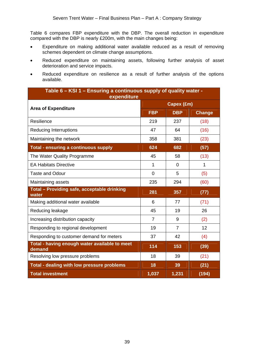Table 6 compares FBP expenditure with the DBP. The overall reduction in expenditure compared with the DBP is nearly £200m, with the main changes being:

- Expenditure on making additional water available reduced as a result of removing schemes dependent on climate change assumptions.
- Reduced expenditure on maintaining assets, following further analysis of asset deterioration and service impacts.
- Reduced expenditure on resilience as a result of further analysis of the options available.

| Table 6 - KSI 1 - Ensuring a continuous supply of quality water -<br>expenditure |                |                |               |  |  |
|----------------------------------------------------------------------------------|----------------|----------------|---------------|--|--|
| <b>Area of Expenditure</b>                                                       | Capex (£m)     |                |               |  |  |
|                                                                                  | <b>FBP</b>     | <b>DBP</b>     | <b>Change</b> |  |  |
| Resilience                                                                       | 219            | 237            | (18)          |  |  |
| <b>Reducing Interruptions</b>                                                    | 47             | 64             | (16)          |  |  |
| Maintaining the network                                                          | 358            | 381            | (23)          |  |  |
| <b>Total - ensuring a continuous supply</b>                                      | 624            | 682            | (57)          |  |  |
| The Water Quality Programme                                                      | 45             | 58             | (13)          |  |  |
| <b>EA Habitats Directive</b>                                                     | 1              | $\Omega$       | 1             |  |  |
| <b>Taste and Odour</b>                                                           | 0              | 5              | (5)           |  |  |
| Maintaining assets                                                               | 235            | 294            | (60)          |  |  |
| Total - Providing safe, acceptable drinking<br>water                             | 281            | 357            | (77)          |  |  |
| Making additional water available                                                | 6              | 77             | (71)          |  |  |
| Reducing leakage                                                                 | 45             | 19             | 26            |  |  |
| Increasing distribution capacity                                                 | $\overline{7}$ | 9              | (2)           |  |  |
| Responding to regional development                                               | 19             | $\overline{7}$ | 12            |  |  |
| Responding to customer demand for meters                                         | 37             | 42             | (4)           |  |  |
| Total - having enough water available to meet<br>demand                          | 114            | 153            | (39)          |  |  |
| Resolving low pressure problems                                                  | 18             | 39             | (21)          |  |  |
| Total - dealing with low pressure problems                                       | 18             | 39             | (21)          |  |  |
| <b>Total investment</b>                                                          | 1,037          | 1,231          | (194)         |  |  |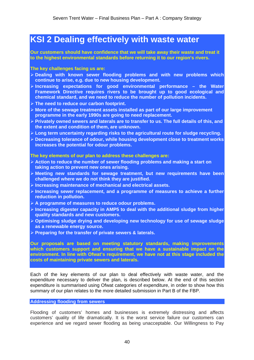# **KSI 2 Dealing effectively with waste water**

**Our customers should have confidence that we will take away their waste and treat it to the highest environmental standards before returning it to our region's rivers.** 

#### **The key challenges facing us are:**

- ¾ **Dealing with known sewer flooding problems and with new problems which continue to arise, e.g. due to new housing development.**
- ¾ **Increasing expectations for good environmental performance the Water Framework Directive requires rivers to be brought up to good ecological and chemical standard, and we need to reduce the number of pollution incidents.**
- ¾ **The need to reduce our carbon footprint.**
- ¾ **More of the sewage treatment assets installed as part of our large improvement programme in the early 1990s are going to need replacement.**
- ¾ **Privately owned sewers and laterals are to transfer to us. The full details of this, and the extent and condition of them, are unknown.**
- ¾ **Long term uncertainty regarding risks to the agricultural route for sludge recycling.**
- ¾ **Decreasing tolerance of odour, while housing development close to treatment works increases the potential for odour problems.**

#### **The key elements of our plan to address these challenges are:**

- ¾ **Action to reduce the number of sewer flooding problems and making a start on taking action to prevent new ones arising.**
- ¾ **Meeting new standards for sewage treatment, but new requirements have been challenged where we do not think they are justified.**
- ¾ **Increasing maintenance of mechanical and electrical assets.**
- ¾ **Increasing sewer replacement, and a programme of measures to achieve a further reduction in pollution.**
- ¾ **A programme of measures to reduce odour problems.**
- ¾ **Increasing digester capacity in AMP5 to deal with the additional sludge from higher quality standards and new customers.**
- ¾ **Optimising sludge drying and developing new technology for use of sewage sludge as a renewable energy source.**
- ¾ **Preparing for the transfer of private sewers & laterals.**

**Our proposals are based on meeting statutory standards, making improvements which customers support and ensuring that we have a sustainable impact on the environment. In line with Ofwat's requirement, we have not at this stage included the costs of maintaining private sewers and laterals.** 

Each of the key elements of our plan to deal effectively with waste water, and the expenditure necessary to deliver the plan, is described below. At the end of this section expenditure is summarised using Ofwat categories of expenditure, in order to show how this summary of our plan relates to the more detailed submission in Part B of the FBP.

### **Addressing flooding from sewers**

Flooding of customers' homes and businesses is extremely distressing and affects customers' quality of life dramatically. It is the worst service failure our customers can experience and we regard sewer flooding as being unacceptable. Our Willingness to Pay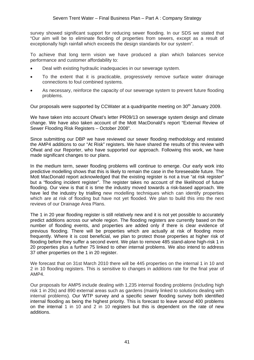survey showed significant support for reducing sewer flooding. In our SDS we stated that "Our aim will be to eliminate flooding of properties from sewers, except as a result of exceptionally high rainfall which exceeds the design standards for our system".

To achieve that long term vision we have produced a plan which balances service performance and customer affordability to:

- Deal with existing hydraulic inadequacies in our sewerage system.
- To the extent that it is practicable, progressively remove surface water drainage connections to foul combined systems.
- As necessary, reinforce the capacity of our sewerage system to prevent future flooding problems.

Our proposals were supported by CCWater at a quadripartite meeting on 30<sup>th</sup> January 2009.

We have taken into account Ofwat's letter PR09/13 on sewerage system design and climate change. We have also taken account of the Mott MacDonald's report "External Review of Sewer Flooding Risk Registers – October 2008".

Since submitting our DBP we have reviewed our sewer flooding methodology and restated the AMP4 additions to our "At Risk" registers. We have shared the results of this review with Ofwat and our Reporter, who have supported our approach. Following this work, we have made significant changes to our plans.

In the medium term, sewer flooding problems will continue to emerge. Our early work into predictive modelling shows that this is likely to remain the case in the foreseeable future. The Mott MacDonald report acknowledged that the existing register is not a true "at risk register" but a "flooding incident register". The register takes no account of the likelihood of future flooding. Our view is that it is time the industry moved towards a risk-based approach. We have led the industry by trialling new modelling techniques which can identify properties which are at risk of flooding but have not yet flooded. We plan to build this into the next reviews of our Drainage Area Plans.

The 1 in 20 year flooding register is still relatively new and it is not yet possible to accurately predict additions across our whole region. The flooding registers are currently based on the number of flooding events, and properties are added only if there is clear evidence of previous flooding. There will be properties which are actually at risk of flooding more frequently. Where it is cost beneficial, we plan to protect those properties at higher risk of flooding before they suffer a second event. We plan to remove 485 stand-alone high-risk 1 in 20 properties plus a further 75 linked to other internal problems. We also intend to address 37 other properties on the 1 in 20 register.

We forecast that on 31st March 2010 there will be 445 properties on the internal 1 in 10 and 2 in 10 flooding registers. This is sensitive to changes in additions rate for the final year of AMP4.

Our proposals for AMP5 include dealing with 1,235 internal flooding problems (including high risk 1 in 20s) and 890 external areas such as gardens (mainly linked to solutions dealing with internal problems). Our WTP survey and a specific sewer flooding survey both identified internal flooding as being the highest priority. This is forecast to leave around 400 problems on the internal 1 in 10 and 2 in 10 registers but this is dependent on the rate of new additions.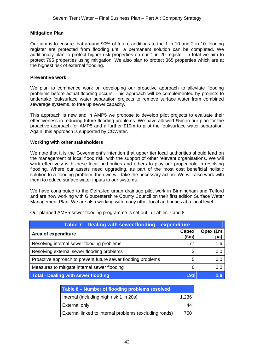## **Mitigation Plan**

Our aim is to ensure that around 90% of future additions to the 1 in 10 and 2 in 10 flooding register are protected from flooding until a permanent solution can be completed. We additionally plan to protect higher risk properties on our 1 in 20 register. In total we aim to protect 795 properties using mitigation. We also plan to protect 365 properties which are at the highest risk of external flooding.

### **Preventive work**

We plan to commence work on developing our proactive approach to alleviate flooding problems before actual flooding occurs. This approach will be complemented by projects to undertake foul/surface water separation projects to remove surface water from combined sewerage systems, to free up sewer capacity.

This approach is new and in AMP5 we propose to develop pilot projects to evaluate their effectiveness in reducing future flooding problems. We have allowed £5m in our plan for the proactive approach for AMP5 and a further £10m to pilot the foul/surface water separation. Again, this approach is supported by CCWater.

## **Working with other stakeholders**

We note that it is the Government's intention that upper tier local authorities should lead on the management of local flood risk, with the support of other relevant organisations. We will work effectively with these local authorities and others to play our proper role in resolving flooding. Where our assets need upgrading, as part of the most cost beneficial holistic solution to a flooding problem, then we will take the necessary action. We will also work with them to reduce surface water inputs to our systems.

We have contributed to the Defra-led urban drainage pilot work in Birmingham and Telford and are now working with Gloucestershire County Council on their first edition Surface Water Management Plan. We are also working with many other local authorities at a local level.

| Table 7 – Dealing with sewer flooding – expenditure          |               |                 |  |  |  |
|--------------------------------------------------------------|---------------|-----------------|--|--|--|
| Area of expenditure                                          | Capex<br>(£m) | Opex (£m<br>pa) |  |  |  |
| Resolving internal sewer flooding problems                   | 177           | 1.6             |  |  |  |
| Resolving external sewer flooding problems                   | 3             | 0.0             |  |  |  |
| Proactive approach to prevent future sewer flooding problems | 5             | 0.0             |  |  |  |
| Measures to mitigate internal sewer flooding                 | 6             | 0.0             |  |  |  |
| <b>Total - Dealing with sewer flooding</b>                   | 191           |                 |  |  |  |

Our planned AMP5 sewer flooding programme is set out in Tables 7 and 8.

| Table 8 – Number of flooding problems resolved         |       |
|--------------------------------------------------------|-------|
| Internal (including high risk 1 in 20s)                | 1,236 |
| External only                                          | 44    |
| External linked to internal problems (excluding roads) | 750   |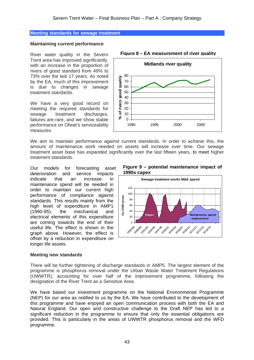#### **Meeting standards for sewage treatment**

#### **Maintaining current performance**

River water quality in the Severn Trent area has improved significantly, with an increase in the proportion of rivers of good standard from 49% to 73% over the last 17 years. As noted by the EA, much of this improvement is due to changes in sewage treatment standards.

We have a very good record on meeting the required standards for sewage treatment discharges, failures are rare, and we show stable performance on Ofwat's serviceability measures.



We aim to maintain performance against current standards. In order to achieve this, the amount of maintenance work needed on assets will increase over time. Our sewage treatment asset base has expanded significantly over the last fifteen years, to meet higher treatment standards.

Our models for forecasting asset deterioration and service impacts indicate that an increase in maintenance spend will be needed in order to maintain our current high performance of compliance against standards. This results mainly from the high level of expenditure in AMP1 (1990-95); the mechanical and electrical elements of this expenditure are coming towards the end of their useful life. The effect is shown in the graph above. However, the effect is offset by a reduction in expenditure on longer life assets.

## **Meeting new standards**

**Figure 9 – potential maintenance impact of 1990s capex** 



There will be further tightening of discharge standards in AMP5. The largest element of the programme is phosphorus removal under the Urban Waste Water Treatment Regulations (UWWTR), accounting for over half of the improvement programme, following the designation of the River Trent as a Sensitive Area.

We have based our investment programme on the National Environmental Programme (NEP) for our area as notified to us by the EA. We have contributed to the development of this programme and have enjoyed an open communication process with both the EA and Natural England. Our open and constructive challenge to the Draft NEP has led to a significant reduction in the programme to ensure that only the essential obligations are provided. This is particularly in the areas of UWWTR phosphorus removal and the WFD programme.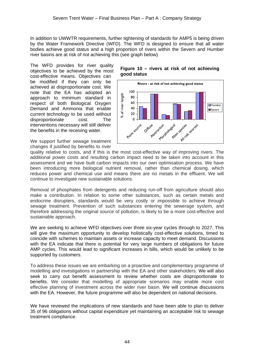In addition to UWWTR requirements, further tightening of standards for AMP5 is being driven by the Water Framework Directive (WFD). The WFD is designed to ensure that all water bodies achieve good status and a high proportion of rivers within the Severn and Humber river basins are at risk of not achieving this (see graph below).

The WFD provides for river quality objectives to be achieved by the most cost-effective means. Objectives can be modified if they can only be achieved at disproportionate cost. We note that the EA has adopted an approach to minimum standard in respect of both Biological Oxygen Demand and Ammonia that enable current technology to be used without disproportionate cost. The interventions necessary will still deliver the benefits in the receiving water.

We support further sewage treatment changes if justified by benefits to river

# **Figure 10 – rivers at risk of not achieving good status**



quality relative to costs, and if this is the most cost-effective way of improving rivers. The additional power costs and resulting carbon impact need to be taken into account in this assessment and we have built carbon impacts into our own optimisation process. We have been introducing more biological nutrient removal, rather than chemical dosing, which reduces power and chemical use and means there are no metals in the effluent. We will continue to investigate new sustainable solutions.

Removal of phosphates from detergents and reducing run-off from agriculture should also make a contribution. In relation to some other substances, such as certain metals and endocrine disrupters, standards would be very costly or impossible to achieve through sewage treatment. Prevention of such substances entering the sewerage system, and therefore addressing the original source of pollution, is likely to be a more cost-effective and sustainable approach.

We are seeking to achieve WFD objectives over three six-year cycles through to 2027. This will give the maximum opportunity to develop holistically cost-effective solutions, timed to coincide with schemes to maintain assets or increase capacity to meet demand. Discussions with the EA indicate that there is potential for very large numbers of obligations for future AMP cycles. This would lead to significant increases in bills, which would be unlikely to be supported by customers.

To address these issues we are embarking on a proactive and complementary programme of modelling and investigations in partnership with the EA and other stakeholders. We will also seek to carry out benefit assessment to review whether costs are disproportionate to benefits. We consider that modelling of appropriate scenarios may enable more cost effective planning of investment across the wider river basin. We will continue discussions with the EA. However, the future programme will also be dependent on national decisions.

We have reviewed the implications of new standards and have been able to plan to deliver 35 of 96 obligations without capital expenditure yet maintaining an acceptable risk to sewage treatment compliance.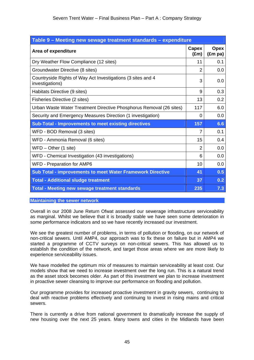| Table 9 - Meeting new sewage treatment standards - expenditure                 |                        |                                 |  |  |  |
|--------------------------------------------------------------------------------|------------------------|---------------------------------|--|--|--|
| Area of expenditure                                                            | Capex<br>$(\text{Em})$ | <b>Opex</b><br>$(\text{Em pa})$ |  |  |  |
| Dry Weather Flow Compliance (12 sites)                                         | 11                     | 0.1                             |  |  |  |
| Groundwater Directive (8 sites)                                                | $\overline{2}$         | 0.0                             |  |  |  |
| Countryside Rights of Way Act Investigations (3 sites and 4<br>investigations) | 3                      | 0.0                             |  |  |  |
| Habitats Directive (9 sites)                                                   | 9                      | 0.3                             |  |  |  |
| Fisheries Directive (2 sites)                                                  | 13                     | 0.2                             |  |  |  |
| Urban Waste Water Treatment Directive Phosphorus Removal (26 sites)            | 117                    | 6.0                             |  |  |  |
| Security and Emergency Measures Direction (1 investigation)                    | $\Omega$               | 0.0                             |  |  |  |
| <b>Sub-Total - Improvements to meet existing directives</b>                    | 157                    | 6.6                             |  |  |  |
| WFD - BOD Removal (3 sites)                                                    | 7                      | 0.1                             |  |  |  |
| WFD - Ammonia Removal (6 sites)                                                | 15                     | 0.4                             |  |  |  |
| $WFD - Other (1 site)$                                                         | $\overline{2}$         | 0.0                             |  |  |  |
| WFD - Chemical Investigation (43 investigations)                               | 6                      | 0.0                             |  |  |  |
| WFD - Preparation for AMP6                                                     | 10                     | 0.0                             |  |  |  |
| <b>Sub Total - improvements to meet Water Framework Directive</b>              | 41                     | 0.5                             |  |  |  |
| <b>Total - Additional sludge treatment</b>                                     | 37                     | 0.2                             |  |  |  |
| <b>Total - Meeting new sewage treatment standards</b>                          | 235                    | 7.3                             |  |  |  |

**Maintaining the sewer network** 

Overall in our 2008 June Return Ofwat assessed our sewerage infrastructure serviceability as marginal. Whilst we believe that it is broadly stable we have seen some deterioration in some performance indicators and so we have recently increased our investment.

We see the greatest number of problems, in terms of pollution or flooding, on our network of non-critical sewers. Until AMP4, our approach was to fix these on failure but in AMP4 we started a programme of CCTV surveys on non-critical sewers. This has allowed us to establish the condition of the network, and target those areas where we are more likely to experience serviceability issues.

We have modelled the optimum mix of measures to maintain serviceability at least cost. Our models show that we need to increase investment over the long run. This is a natural trend as the asset stock becomes older. As part of this investment we plan to increase investment in proactive sewer cleansing to improve our performance on flooding and pollution.

Our programme provides for increased proactive investment in gravity sewers, continuing to deal with reactive problems effectively and continuing to invest in rising mains and critical sewers.

There is currently a drive from national government to dramatically increase the supply of new housing over the next 25 years. Many towns and cities in the Midlands have been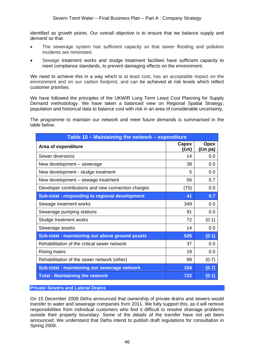identified as growth points. Our overall objective is to ensure that we balance supply and demand so that:

- The sewerage system has sufficient capacity so that sewer flooding and pollution incidents are minimised.
- Sewage treatment works and sludge treatment facilities have sufficient capacity to meet compliance standards, to prevent damaging effects on the environment.

We need to achieve this in a way which is at least cost, has an acceptable impact on the environment and on our carbon footprint, and can be achieved at risk levels which reflect customer priorities.

We have followed the principles of the UKWIR Long Term Least Cost Planning for Supply Demand methodology. We have taken a balanced view on Regional Spatial Strategy, population and historical data to balance cost with risk in an area of considerable uncertainty.

The programme to maintain our network and meet future demands is summarised in the table below.

| Table 10 - Maintaining the network - expenditure   |               |                        |  |  |
|----------------------------------------------------|---------------|------------------------|--|--|
| Area of expenditure                                | Capex<br>(£m) | <b>Opex</b><br>(£m pa) |  |  |
| Sewer diversions                                   | 14            | 0.0                    |  |  |
| New development – sewerage                         | 38            | 0.0                    |  |  |
| New development - sludge treatment                 | 5             | 0.0                    |  |  |
| New development – sewage treatment                 | 56            | 0.7                    |  |  |
| Developer contributions and new connection charges | (70)          | 0.0                    |  |  |
| Sub-total - responding to regional development     | 41            | 0.7                    |  |  |
| Sewage treatment works                             | 349           | 0.0                    |  |  |
| Sewerage pumping stations                          | 91            | 0.0                    |  |  |
| Sludge treatment works                             | 72            | (0.1)                  |  |  |
| Sewerage assets                                    | 14            | 0.0                    |  |  |
| Sub-total - maintaining our above ground assets    | 526           | (0.1)                  |  |  |
| Rehabilitation of the critical sewer network       | 37            | 0.0                    |  |  |
| Rising mains                                       | 19            | 0.0                    |  |  |
| Rehabilitation of the sewer network (other)        | 98            | (0.7)                  |  |  |
| Sub-total - maintaining our sewerage network       | 154           | (0.7)                  |  |  |
| <b>Total - Maintaining the network</b>             | 722           | (0.1)                  |  |  |

**Private Sewers and Lateral Drains** 

On 15 December 2008 Defra announced that ownership of private drains and sewers would transfer to water and sewerage companies from 2011. We fully support this, as it will remove responsibilities from individual customers who find it difficult to resolve drainage problems outside their property boundary. Some of the details of the transfer have not yet been announced. We understand that Defra intend to publish draft regulations for consultation in Spring 2009.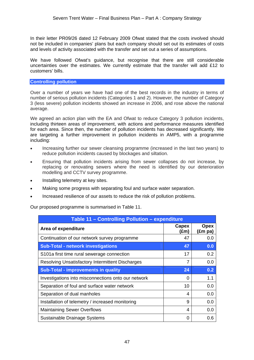In their letter PR09/26 dated 12 February 2009 Ofwat stated that the costs involved should not be included in companies' plans but each company should set out its estimates of costs and levels of activity associated with the transfer and set out a series of assumptions.

We have followed Ofwat's guidance, but recognise that there are still considerable uncertainties over the estimates. We currently estimate that the transfer will add £12 to customers' bills.

## **Controlling pollution**

Over a number of years we have had one of the best records in the industry in terms of number of serious pollution incidents (Categories 1 and 2). However, the number of Category 3 (less severe) pollution incidents showed an increase in 2006, and rose above the national average.

We agreed an action plan with the EA and Ofwat to reduce Category 3 pollution incidents, including thirteen areas of improvement, with actions and performance measures identified for each area. Since then, the number of pollution incidents has decreased significantly. We are targeting a further improvement in pollution incidents in AMP5, with a programme including:

- Increasing further our sewer cleansing programme (increased in the last two years) to reduce pollution incidents caused by blockages and siltation.
- Ensuring that pollution incidents arising from sewer collapses do not increase, by replacing or renovating sewers where the need is identified by our deterioration modelling and CCTV survey programme.
- Installing telemetry at key sites.
- Making some progress with separating foul and surface water separation.
- Increased resilience of our assets to reduce the risk of pollution problems.

Our proposed programme is summarised in Table 11.

| Table 11 - Controlling Pollution - expenditure          |               |                        |  |  |
|---------------------------------------------------------|---------------|------------------------|--|--|
| Area of expenditure                                     | Capex<br>(£m) | <b>Opex</b><br>(£m pa) |  |  |
| Continuation of our network survey programme            | 47            | 0.0                    |  |  |
| <b>Sub-Total - network investigations</b>               | 47            | 0.0                    |  |  |
| S101a first time rural sewerage connection              | 17            | 0.2                    |  |  |
| <b>Resolving Unsatisfactory Intermittent Discharges</b> | 7             | 0.0                    |  |  |
| <b>Sub-Total - improvements in quality</b>              | 24            | 0.2                    |  |  |
| Investigations into misconnections onto our network     | 0             | 1.1                    |  |  |
| Separation of foul and surface water network            | 10            | 0.0                    |  |  |
| Separation of dual manholes                             | 4             | 0.0                    |  |  |
| Installation of telemetry / increased monitoring        | 9             | 0.0                    |  |  |
| <b>Maintaining Sewer Overflows</b>                      | 4             | 0.0                    |  |  |
| Sustainable Drainage Systems                            | 0             | 0.6                    |  |  |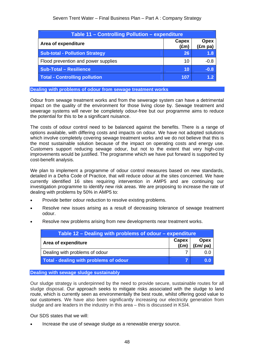| <b>Table 11 - Controlling Pollution - expenditure</b> |                        |                                 |  |  |
|-------------------------------------------------------|------------------------|---------------------------------|--|--|
| Area of expenditure                                   | Capex<br>$(\text{Em})$ | <b>Opex</b><br>$(\text{Em pa})$ |  |  |
| <b>Sub-total - Pollution Strategy</b>                 | 26                     | 1.8                             |  |  |
| Flood prevention and power supplies                   | 10                     | $-0.8$                          |  |  |
| <b>Sub-Total - Resilience</b>                         | 10                     | $-0.8$                          |  |  |
| <b>Total - Controlling pollution</b>                  | 107                    | 1.2 <sup>1</sup>                |  |  |

**Dealing with problems of odour from sewage treatment works** 

Odour from sewage treatment works and from the sewerage system can have a detrimental impact on the quality of the environment for those living close by. Sewage treatment and sewerage systems will never be completely odour-free but our programme aims to reduce the potential for this to be a significant nuisance.

The costs of odour control need to be balanced against the benefits. There is a range of options available, with differing costs and impacts on odour. We have not adopted solutions which involve completely covering sewage treatment works and we do not believe that this is the most sustainable solution because of the impact on operating costs and energy use. Customers support reducing sewage odour, but not to the extent that very high-cost improvements would be justified. The programme which we have put forward is supported by cost-benefit analysis.

We plan to implement a programme of odour control measures based on new standards, detailed in a Defra Code of Practice, that will reduce odour at the sites concerned. We have currently identified 16 sites requiring intervention in AMP5 and are continuing our investigation programme to identify new risk areas. We are proposing to increase the rate of dealing with problems by 50% in AMP5 to:

- Provide better odour reduction to resolve existing problems.
- Resolve new issues arising as a result of decreasing tolerance of sewage treatment odour.
- Resolve new problems arising from new developments near treatment works.

| Table 12 – Dealing with problems of odour – expenditure |                        |                                        |  |  |
|---------------------------------------------------------|------------------------|----------------------------------------|--|--|
| Area of expenditure                                     | Capex<br>$(\text{Em})$ | <b>Opex</b><br>$(\text{Em}/\text{pa})$ |  |  |
| Dealing with problems of odour                          |                        | 0.0                                    |  |  |
| Total - dealing with problems of odour                  |                        | 0.0                                    |  |  |

**Dealing with sewage sludge sustainably** 

Our sludge strategy is underpinned by the need to provide secure, sustainable routes for all sludge disposal. Our approach seeks to mitigate risks associated with the sludge to land route, which is currently seen as environmentally the best route, whilst offering good value to our customers. We have also been significantly increasing our electricity generation from sludge and are leaders in the industry in this area – this is discussed in KSI4.

Our SDS states that we will:

• Increase the use of sewage sludge as a renewable energy source.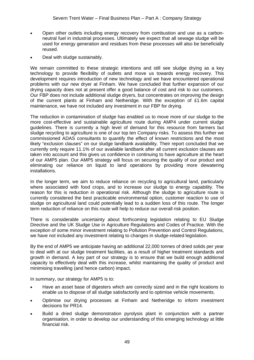- Open other outlets including energy recovery from combustion and use as a carbonneutral fuel in industrial processes. Ultimately we expect that all sewage sludge will be used for energy generation and residues from these processes will also be beneficially reused.
- Deal with sludge sustainably.

We remain committed to these strategic intentions and still see sludge drying as a key technology to provide flexibility of outlets and move us towards energy recovery. This development requires introduction of new technology and we have encountered operational problems with our new dryer at Finham. We have concluded that further expansion of our drying capacity does not at present offer a good balance of cost and risk to our customers. Our FBP does not include additional sludge dryers, but concentrates on improving the design of the current plants at Finham and Netheridge. With the exception of £1.6m capital maintenance, we have not included any investment in our FBP for drying.

The reduction in contamination of sludge has enabled us to move more of our sludge to the more cost-effective and sustainable agriculture route during AMP4 under current sludge guidelines. There is currently a high level of demand for this resource from farmers but sludge recycling to agriculture is one of our top ten Company risks. To assess this further we commissioned ADAS consultants to quantify the effect of known restrictions and the most likely "exclusion clauses" on our sludge landbank availability. Their report concluded that we currently only require 11.1% of our available landbank after all current exclusion clauses are taken into account and this gives us confidence in continuing to have agriculture at the heart of our AMP5 plan. Our AMP5 strategy will focus on securing the quality of our product and eliminating our reliance on liquid to land operations by providing more dewatering installations.

In the longer term, we aim to reduce reliance on recycling to agricultural land, particularly where associated with food crops, and to increase our sludge to energy capability. The reason for this is reduction in operational risk. Although the sludge to agriculture route is currently considered the best practicable environmental option, customer reaction to use of sludge on agricultural land could potentially lead to a sudden loss of this route. The longer term reduction of reliance on this route will help to reduce our overall risk position.

There is considerable uncertainty about forthcoming legislation relating to EU Sludge Directive and the UK Sludge Use in Agriculture Regulations and Codes of Practice. With the exception of some minor investment relating to Pollution Prevention and Control Regulations, we have not included any investment relating to changes in sludge-related legislation.

By the end of AMP5 we anticipate having an additional 22,000 tonnes of dried solids per year to deal with at our sludge treatment facilities, as a result of higher treatment standards and growth in demand. A key part of our strategy is to ensure that we build enough additional capacity to effectively deal with this increase, whilst maintaining the quality of product and minimising travelling (and hence carbon) impact.

In summary, our strategy for AMP5 is to:

- Have an asset base of digesters which are correctly sized and in the right locations to enable us to dispose of all sludge satisfactorily and to optimise vehicle movements.
- Optimise our drying processes at Finham and Netheridge to inform investment decisions for PR14.
- Build a dried sludge demonstration pyrolysis plant in conjunction with a partner organisation, in order to develop our understanding of this emerging technology at little financial risk.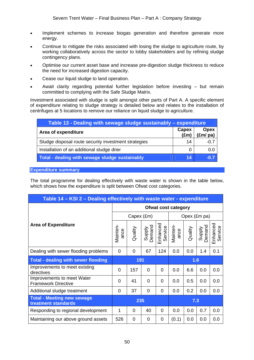- Implement schemes to increase biogas generation and therefore generate more energy.
- Continue to mitigate the risks associated with losing the sludge to agriculture route, by working collaboratively across the sector to lobby stakeholders and by refining sludge contingency plans.
- Optimise our current asset base and increase pre-digestion sludge thickness to reduce the need for increased digestion capacity.
- Cease our liquid sludge to land operation.
- Await clarity regarding potential further legislation before investing but remain committed to complying with the Safe Sludge Matrix.

Investment associated with sludge is split amongst other parts of Part A. A specific element of expenditure relating to sludge strategy is detailed below and relates to the installation of centrifuges at 5 locations to remove our reliance on liquid sludge to agriculture.

| Table 13 - Dealing with sewage sludge sustainably – expenditure |                        |                         |  |  |  |  |  |
|-----------------------------------------------------------------|------------------------|-------------------------|--|--|--|--|--|
| Area of expenditure                                             | Capex<br>$(\text{Em})$ | <b>Opex</b><br>(£m/ pa) |  |  |  |  |  |
| Sludge disposal route security investment strategies            | 14                     | -0.7                    |  |  |  |  |  |
| Installation of an additional sludge drier                      |                        | 0.0                     |  |  |  |  |  |
| Total - dealing with sewage sludge sustainably                  | T 4                    | $\bigoplus$             |  |  |  |  |  |

**Expenditure summary** 

The total programme for dealing effectively with waste water is shown in the table below, which shows how the expenditure is split between Ofwat cost categories.

| Table 14 – KSI 2 – Dealing effectively with waste water - expenditure |                            |            |                  |                     |                  |              |                  |                     |  |
|-----------------------------------------------------------------------|----------------------------|------------|------------------|---------------------|------------------|--------------|------------------|---------------------|--|
|                                                                       | <b>Ofwat cost category</b> |            |                  |                     |                  |              |                  |                     |  |
|                                                                       |                            | Capex (£m) |                  |                     |                  | Opex (£m pa) |                  |                     |  |
| <b>Area of Expenditure</b>                                            | Mainten-<br>ance           | Quality    | Supply<br>Demand | Enhanced<br>Service | Mainten-<br>ance | Quality      | Supply<br>Demand | Enhanced<br>Service |  |
| Dealing with sewer flooding problems                                  | $\Omega$                   | 0          | 67               | 124                 | 0.0              | 0.0          | 1.4              | 0.1                 |  |
| <b>Total - dealing with sewer flooding</b>                            | 191                        |            |                  | 1.6                 |                  |              |                  |                     |  |
| Improvements to meet existing<br>directives                           | 0                          | 157        | 0                | 0                   | 0.0              | 6.6          | 0.0              | 0.0                 |  |
| Improvements to meet Water<br><b>Framework Directive</b>              | $\Omega$                   | 41         | $\Omega$         | $\Omega$            | 0.0              | 0.5          | 0.0              | 0.0                 |  |
| Additional sludge treatment                                           | 0                          | 37         | 0                | 0                   | 0.0              | 0.2          | 0.0              | 0.0                 |  |
| <b>Total - Meeting new sewage</b><br>treatment standards              | 235                        |            |                  |                     | 7.3              |              |                  |                     |  |
| Responding to regional development                                    | 1                          | 0          | 40               | $\Omega$            | 0.0              | 0.0          | 0.7              | 0.0                 |  |
| Maintaining our above ground assets                                   | 526                        | 0          | 0                | 0                   | (0.1)            | 0.0          | 0.0              | 0.0                 |  |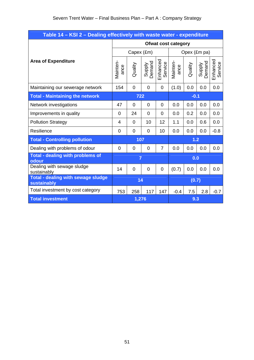| Table 14 - KSI 2 - Dealing effectively with waste water - expenditure |                       |             |                  |                     |                  |              |                  |                     |  |
|-----------------------------------------------------------------------|-----------------------|-------------|------------------|---------------------|------------------|--------------|------------------|---------------------|--|
|                                                                       | Ofwat cost category   |             |                  |                     |                  |              |                  |                     |  |
|                                                                       | Capex (£m)            |             |                  |                     |                  | Opex (£m pa) |                  |                     |  |
| <b>Area of Expenditure</b>                                            | Mainten-<br>ance      | Quality     | Supply<br>Demand | Enhanced<br>Service | Mainten-<br>ance | Quality      | Supply<br>Demand | Enhanced<br>Service |  |
| Maintaining our sewerage network                                      | 154                   | $\mathbf 0$ | $\mathbf 0$      | $\overline{0}$      | (1.0)            | 0.0          | 0.0              | 0.0                 |  |
| <b>Total - Maintaining the network</b>                                | 722<br>$-0.1$         |             |                  |                     |                  |              |                  |                     |  |
| Network investigations                                                | 47                    | $\mathbf 0$ | $\mathbf 0$      | 0                   | 0.0              | 0.0          | 0.0              | 0.0                 |  |
| Improvements in quality                                               | $\mathbf 0$           | 24          | 0                | 0                   | 0.0              | 0.2          | 0.0              | 0.0                 |  |
| <b>Pollution Strategy</b>                                             | $\overline{4}$        | 0           | 10               | 12                  | 1.1              | 0.0          | 0.6              | 0.0                 |  |
| Resilience                                                            | $\mathbf 0$           | $\mathbf 0$ | 0                | 10                  | 0.0              | 0.0          | 0.0              | $-0.8$              |  |
| <b>Total - Controlling pollution</b>                                  | 107                   |             |                  | 1.2                 |                  |              |                  |                     |  |
| Dealing with problems of odour                                        | $\mathbf 0$           | $\mathbf 0$ | 0                | $\overline{7}$      | 0.0              | 0.0          | 0.0              | 0.0                 |  |
| <b>Total - dealing with problems of</b><br>odour                      | $\overline{7}$<br>0.0 |             |                  |                     |                  |              |                  |                     |  |
| Dealing with sewage sludge<br>sustainably                             | 14                    | $\mathbf 0$ | 0                | 0                   | (0.7)            | 0.0          | 0.0              | 0.0                 |  |
| <b>Total - dealing with sewage sludge</b><br>sustainably              | 14                    |             |                  | (0.7)               |                  |              |                  |                     |  |
| Total investment by cost category                                     | 753                   | 258         | 117              | 147                 | $-0.4$           | 7.5          | 2.8              | $-0.7$              |  |
| <b>Total investment</b>                                               | 1,276<br>9.3          |             |                  |                     |                  |              |                  |                     |  |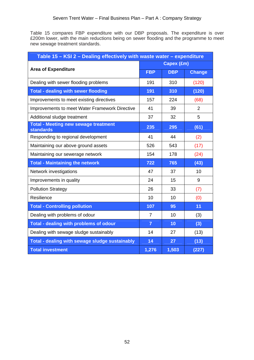Table 15 compares FBP expenditure with our DBP proposals. The expenditure is over £200m lower, with the main reductions being on sewer flooding and the programme to meet new sewage treatment standards.

| Table 15 - KSI 2 - Dealing effectively with waste water - expenditure |                |            |                |  |  |  |
|-----------------------------------------------------------------------|----------------|------------|----------------|--|--|--|
|                                                                       | Capex (£m)     |            |                |  |  |  |
| <b>Area of Expenditure</b>                                            | <b>FBP</b>     | <b>DBP</b> | <b>Change</b>  |  |  |  |
| Dealing with sewer flooding problems                                  | 191            | 310        | (120)          |  |  |  |
| <b>Total - dealing with sewer flooding</b>                            | 191            | 310        | (120)          |  |  |  |
| Improvements to meet existing directives                              | 157            | 224        | (68)           |  |  |  |
| Improvements to meet Water Framework Directive                        | 41             | 39         | $\overline{2}$ |  |  |  |
| Additional sludge treatment                                           | 37             | 32         | 5              |  |  |  |
| <b>Total - Meeting new sewage treatment</b><br><b>standards</b>       | 235            | 295        | (61)           |  |  |  |
| Responding to regional development                                    | 41             | 44         | (2)            |  |  |  |
| Maintaining our above ground assets                                   | 526            | 543        | (17)           |  |  |  |
| Maintaining our sewerage network                                      | 154            | 178        | (24)           |  |  |  |
| <b>Total - Maintaining the network</b>                                | 722            | 765        | (43)           |  |  |  |
| Network investigations                                                | 47             | 37         | 10             |  |  |  |
| Improvements in quality                                               | 24             | 15         | 9              |  |  |  |
| <b>Pollution Strategy</b>                                             | 26             | 33         | (7)            |  |  |  |
| Resilience                                                            | 10             | 10         | (0)            |  |  |  |
| <b>Total - Controlling pollution</b>                                  | 107            | 95         | 11             |  |  |  |
| Dealing with problems of odour                                        | $\overline{7}$ | 10         | (3)            |  |  |  |
| Total - dealing with problems of odour                                | $\overline{7}$ | 10         | (3)            |  |  |  |
| Dealing with sewage sludge sustainably                                | 14             | 27         | (13)           |  |  |  |
| Total - dealing with sewage sludge sustainably                        | 14             | 27         | (13)           |  |  |  |
| <b>Total investment</b>                                               | 1,276          | 1,503      | (227)          |  |  |  |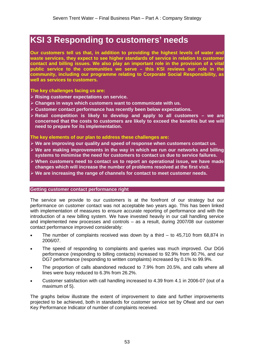# **KSI 3 Responding to customers' needs**

**Our customers tell us that, in addition to providing the highest levels of water and waste services, they expect to see higher standards of service in relation to customer contact and billing issues. We also play an important role in the provision of a vital public service to the communities we serve – this KSI reviews our role in the community, including our programme relating to Corporate Social Responsibility, as well as services to customers.** 

#### **The key challenges facing us are:**

- ¾ **Rising customer expectations on service.**
- ¾ **Changes in ways which customers want to communicate with us.**
- ¾ **Customer contact performance has recently been below expectations.**
- ¾ **Retail competition is likely to develop and apply to all customers we are concerned that the costs to customers are likely to exceed the benefits but we will need to prepare for its implementation.**

#### **The key elements of our plan to address these challenges are:**

- ¾ **We are improving our quality and speed of response when customers contact us.**
- ¾ **We are making improvements in the way in which we run our networks and billing systems to minimise the need for customers to contact us due to service failures.**
- ¾ **When customers need to contact us to report an operational issue, we have made changes which will increase the number of problems resolved at the first visit.**
- ¾ **We are increasing the range of channels for contact to meet customer needs.**

#### **Getting customer contact performance right**

The service we provide to our customers is at the forefront of our strategy but our performance on customer contact was not acceptable two years ago. This has been linked with implementation of measures to ensure accurate reporting of performance and with the introduction of a new billing system. We have invested heavily in our call handling service and implemented new processes and controls – as a result, during 2007/08 our customer contact performance improved considerably:

- The number of complaints received was down by a third  $-$  to 45,710 from 68,874 in 2006/07.
- The speed of responding to complaints and queries was much improved. Our DG6 performance (responding to billing contacts) increased to 92.9% from 90.7%, and our DG7 performance (responding to written complaints) increased by 0.1% to 99.9%.
- The proportion of calls abandoned reduced to 7.9% from 20.5%, and calls where all lines were busy reduced to 6.3% from 26.2%.
- Customer satisfaction with call handling increased to 4.39 from 4.1 in 2006-07 (out of a maximum of 5).

The graphs below illustrate the extent of improvement to date and further improvements projected to be achieved, both in standards for customer service set by Ofwat and our own Key Performance Indicator of number of complaints received.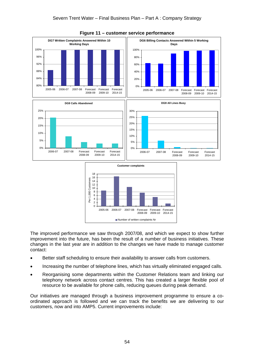

**Figure 11 – customer service performance** 

The improved performance we saw through 2007/08, and which we expect to show further improvement into the future, has been the result of a number of business initiatives. These changes in the last year are in addition to the changes we have made to manage customer contact:

- Better staff scheduling to ensure their availability to answer calls from customers.
- Increasing the number of telephone lines, which has virtually eliminated engaged calls.
- Reorganising some departments within the Customer Relations team and linking our telephony network across contact centres. This has created a larger flexible pool of resource to be available for phone calls, reducing queues during peak demand.

Our initiatives are managed through a business improvement programme to ensure a coordinated approach is followed and we can track the benefits we are delivering to our customers, now and into AMP5. Current improvements include: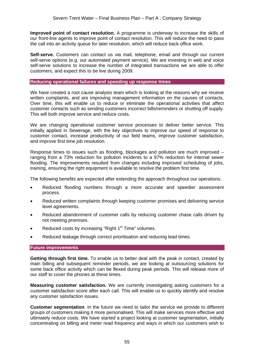**Improved point of contact resolution.** A programme is underway to increase the skills of our front-line agents to improve point of contact resolution. This will reduce the need to pass the call into an activity queue for later resolution, which will reduce back office work.

**Self-serve.** Customers can contact us via mail, telephone, email and through our current self-serve options (e.g. our automated payment service). We are investing in web and voice self-serve solutions to increase the number of integrated transactions we are able to offer customers, and expect this to be live during 2009.

#### **Reducing operational failures and speeding up response times**

We have created a root cause analysis team which is looking at the reasons why we receive written complaints, and are improving management information on the causes of contacts. Over time, this will enable us to reduce or eliminate the operational activities that affect customer contacts such as sending customers incorrect bills/reminders or shutting off supply. This will both improve service and reduce costs.

We are changing operational customer service processes to deliver better service. This initially applied in Sewerage, with the key objectives to improve our speed of response to customer contact, increase productivity of our field teams, improve customer satisfaction, and improve first time job resolution.

Response times to issues such as flooding, blockages and pollution are much improved – ranging from a 73% reduction for pollution incidents to a 97% reduction for internal sewer flooding. The improvements resulted from changes including improved scheduling of jobs, training, ensuring the right equipment is available to resolve the problem first time.

The following benefits are expected after extending the approach throughout our operations.

- Reduced flooding numbers through a more accurate and speedier assessment process.
- Reduced written complaints through keeping customer promises and delivering service level agreements.
- Reduced abandonment of customer calls by reducing customer chase calls driven by not meeting promises.
- Reduced costs by increasing "Right  $1<sup>st</sup>$  Time" volumes.
- Reduced leakage through correct prioritisation and reducing lead times.

## **Future improvements**

**Getting through first time.** To enable us to better deal with the peak in contact, created by main billing and subsequent reminder periods, we are looking at outsourcing solutions for some back office activity which can be flexed during peak periods. This will release more of our staff to cover the phones at these times.

**Measuring customer satisfaction.** We are currently investigating asking customers for a customer satisfaction score after each call. This will enable us to quickly identify and resolve any customer satisfaction issues.

**Customer segmentation**. In the future we need to tailor the service we provide to different groups of customers making it more personalised. This will make services more effective and ultimately reduce costs. We have started a project looking at customer segmentation, initially concentrating on billing and meter read frequency and ways in which our customers wish to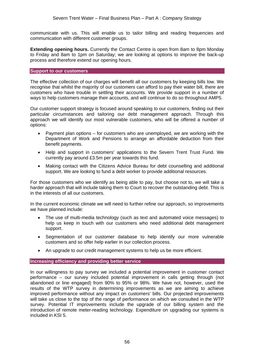communicate with us. This will enable us to tailor billing and reading frequencies and communication with different customer groups.

**Extending opening hours.** Currently the Contact Centre is open from 8am to 8pm Monday to Friday and 8am to 1pm on Saturday; we are looking at options to improve the back-up process and therefore extend our opening hours.

#### **Support to our customers**

The effective collection of our charges will benefit all our customers by keeping bills low. We recognise that whilst the majority of our customers can afford to pay their water bill, there are customers who have trouble in settling their accounts. We provide support in a number of ways to help customers manage their accounts, and will continue to do so throughout AMP5.

Our customer support strategy is focused around speaking to our customers, finding out their particular circumstances and tailoring our debt management approach. Through this approach we will identify our most vulnerable customers, who will be offered a number of options:

- Payment plan options for customers who are unemployed, we are working with the Department of Work and Pensions to arrange an affordable deduction from their benefit payments.
- Help and support in customers' applications to the Severn Trent Trust Fund. We currently pay around £3.5m per year towards this fund.
- Making contact with the Citizens Advice Bureau for debt counselling and additional support. We are looking to fund a debt worker to provide additional resources.

For those customers who we identify as being able to pay, but choose not to, we will take a harder approach that will include taking them to Court to recover the outstanding debt. This is in the interests of all our customers.

In the current economic climate we will need to further refine our approach, so improvements we have planned include:

- The use of multi-media technology (such as text and automated voice messages) to help us keep in touch with our customers who need additional debt management support.
- Segmentation of our customer database to help identify our more vulnerable customers and so offer help earlier in our collection process.
- An upgrade to our credit management systems to help us be more efficient.

## **Increasing efficiency and providing better service**

In our willingness to pay survey we included a potential improvement in customer contact performance – our survey included potential improvement in calls getting through (not abandoned or line engaged) from 90% to 95% or 98%. We have not, however, used the results of the WTP survey in determining improvements as we are aiming to achieve improved performance without any impact on customers' bills. Our projected improvements will take us close to the top of the range of performance on which we consulted in the WTP survey. Potential IT improvements include the upgrade of our billing system and the introduction of remote meter-reading technology. Expenditure on upgrading our systems is included in KSI 5.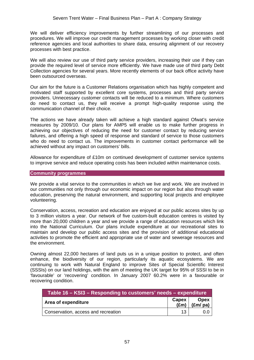We will deliver efficiency improvements by further streamlining of our processes and procedures. We will improve our credit management processes by working closer with credit reference agencies and local authorities to share data, ensuring alignment of our recovery processes with best practice.

We will also review our use of third party service providers, increasing their use if they can provide the required level of service more efficiently. We have made use of third party Debt Collection agencies for several years. More recently elements of our back office activity have been outsourced overseas.

Our aim for the future is a Customer Relations organisation which has highly competent and motivated staff supported by excellent core systems, processes and third party service providers. Unnecessary customer contacts will be reduced to a minimum. Where customers do need to contact us, they will receive a prompt high-quality response using the communication channel of their choice.

The actions we have already taken will achieve a high standard against Ofwat's service measures by 2009/10. Our plans for AMP5 will enable us to make further progress in achieving our objectives of reducing the need for customer contact by reducing service failures, and offering a high speed of response and standard of service to those customers who do need to contact us. The improvements in customer contact performance will be achieved without any impact on customers' bills.

Allowance for expenditure of £10m on continued development of customer service systems to improve service and reduce operating costs has been included within maintenance costs.

#### **Community programmes**

We provide a vital service to the communities in which we live and work. We are involved in our communities not only through our economic impact on our region but also through water education, preserving the natural environment, and supporting local projects and employee volunteering.

Conservation, access, recreation and education are enjoyed at our public access sites by up to 3 million visitors a year. Our network of five custom-built education centres is visited by more than 20,000 children a year and we provide a range of education resources which link into the National Curriculum. Our plans include expenditure at our recreational sites to maintain and develop our public access sites and the provision of additional educational activities to promote the efficient and appropriate use of water and sewerage resources and the environment.

Owning almost 22,000 hectares of land puts us in a unique position to protect, and often enhance, the biodiversity of our region, particularly its aquatic ecosystems. We are continuing to work with Natural England to improve Sites of Special Scientific Interest (SSSIs) on our land holdings, with the aim of meeting the UK target for 95% of SSSI to be in 'favourable' or 'recovering' condition. In January 2007 60.2% were in a favourable or recovering condition.

| Table 16 – KSI3 – Responding to customers' needs – expenditure |       |                                       |  |  |  |  |
|----------------------------------------------------------------|-------|---------------------------------------|--|--|--|--|
| Area of expenditure                                            | Capex | <b>Opex</b><br>$(\text{Em})$ (£m/ pa) |  |  |  |  |
| Conservation, access and recreation                            | 13    | 0.O                                   |  |  |  |  |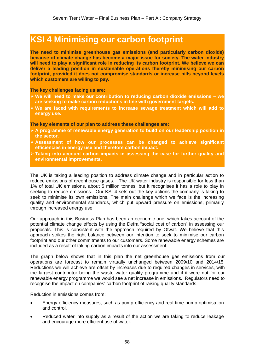# **KSI 4 Minimising our carbon footprint**

**The need to minimise greenhouse gas emissions (and particularly carbon dioxide) because of climate change has become a major issue for society. The water industry will need to play a significant role in reducing its carbon footprint. We believe we can deliver a leading position in sustainable operations thereby minimising our carbon footprint, provided it does not compromise standards or increase bills beyond levels which customers are willing to pay.** 

**The key challenges facing us are:** 

- ¾ **We will need to make our contribution to reducing carbon dioxide emissions we are seeking to make carbon reductions in line with government targets.**
- ¾ **We are faced with requirements to increase sewage treatment which will add to energy use.**

**The key elements of our plan to address these challenges are:**

- ¾ **A programme of renewable energy generation to build on our leadership position in the sector.**
- ¾ **Assessment of how our processes can be changed to achieve significant efficiencies in energy use and therefore carbon impact.**
- ¾ **Taking into account carbon impacts in assessing the case for further quality and environmental improvements.**

The UK is taking a leading position to address climate change and in particular action to reduce emissions of greenhouse gases. The UK water industry is responsible for less than 1% of total UK emissions, about 5 million tonnes, but it recognises it has a role to play in seeking to reduce emissions. Our KSI 4 sets out the key actions the company is taking to seek to minimise its own emissions. The main challenge which we face is the increasing quality and environmental standards, which put upward pressure on emissions, primarily through increased energy use.

Our approach in this Business Plan has been an economic one, which takes account of the potential climate change effects by using the Defra "social cost of carbon" in assessing our proposals. This is consistent with the approach required by Ofwat. We believe that this approach strikes the right balance between our intention to seek to minimise our carbon footprint and our other commitments to our customers. Some renewable energy schemes are included as a result of taking carbon impacts into our assessment.

The graph below shows that in this plan the net greenhouse gas emissions from our operations are forecast to remain virtually unchanged between 2009/10 and 2014/15. Reductions we will achieve are offset by increases due to required changes in services, with the largest contributor being the waste water quality programme and if it were not for our renewable energy programme we would see a net increase in emissions. Regulators need to recognise the impact on companies' carbon footprint of raising quality standards.

Reduction in emissions comes from:

- Energy efficiency measures, such as pump efficiency and real time pump optimisation and control.
- Reduced water into supply as a result of the action we are taking to reduce leakage and encourage more efficient use of water.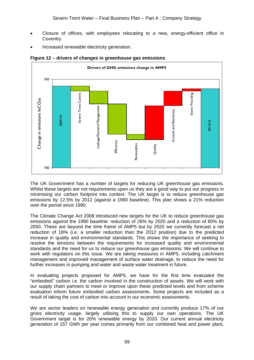- Closure of offices, with employees relocating to a new, energy-efficient office in Coventry.
- Increased renewable electricity generation.



## **Figure 12 – drivers of changes in greenhouse gas emissions**

The UK Government has a number of targets for reducing UK greenhouse gas emissions. Whilst these targets are not requirements upon us they are a good way to put our progress in minimising our carbon footprint into context. The UK target is to reduce greenhouse gas emissions by 12.5% by 2012 (against a 1990 baseline). This plan shows a 21% reduction over the period since 1990.

The Climate Change Act 2008 introduced new targets for the UK to reduce greenhouse gas emissions against the 1990 baseline: reduction of 26% by 2020 and a reduction of 80% by 2050. These are beyond the time frame of AMP5 but by 2020 we currently forecast a net reduction of 18% (i.e. a smaller reduction than the 2012 position) due to the predicted increase in quality and environmental standards. This shows the importance of seeking to resolve the tensions between the requirements for increased quality and environmental standards and the need for us to reduce our greenhouse gas emissions. We will continue to work with regulators on this issue. We are taking measures in AMP5, including catchment management and improved management of surface water drainage, to reduce the need for further increases in pumping and water and waste water treatment in future.

In evaluating projects proposed for AMP5, we have for the first time evaluated the "embodied" carbon i.e. the carbon involved in the construction of assets. We will work with our supply chain partners to meet or improve upon these predicted levels and from scheme evaluation inform future embodied carbon assessments. Some projects are included as a result of taking the cost of carbon into account in our economic assessments.

We are sector leaders on renewable energy generation and currently produce 17% of our gross electricity usage, largely utilising this to supply our own operations. The UK Government target is for 20% renewable energy by 2020. Our current annual electricity generation of 157 GWh per year comes primarily from our combined heat and power plant,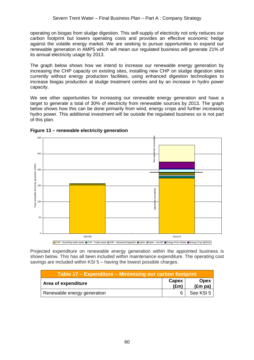operating on biogas from sludge digestion. This self-supply of electricity not only reduces our carbon footprint but lowers operating costs and provides an effective economic hedge against the volatile energy market. We are seeking to pursue opportunities to expand our renewable generation in AMP5 which will mean our regulated business will generate 21% of its annual electricity usage by 2013.

The graph below shows how we intend to increase our renewable energy generation by increasing the CHP capacity on existing sites, installing new CHP on sludge digestion sites currently without energy production facilities, using enhanced digestion technologies to increase biogas production at sludge treatment centres and by an increase in hydro power capacity.

We see other opportunities for increasing our renewable energy generation and have a target to generate a total of 30% of electricity from renewable sources by 2013. The graph below shows how this can be done primarily from wind, energy crops and further increasing hydro power. This additional investment will be outside the regulated business so is not part of this plan.



## **Figure 13 – renewable electricity generation**

Projected expenditure on renewable energy generation within the appointed business is shown below. This has all been included within maintenance expenditure. The operating cost savings are included within KSI 5 – having the lowest possible charges.

| Table 17 – Expenditure – Minimising our carbon footprint |                        |                                    |  |  |  |  |
|----------------------------------------------------------|------------------------|------------------------------------|--|--|--|--|
| Area of expenditure                                      | Capex<br>$(\text{Em})$ | <b>Opex</b><br>(Em <sub>p</sub> a) |  |  |  |  |
| Renewable energy generation                              | 6                      | See KSI 5                          |  |  |  |  |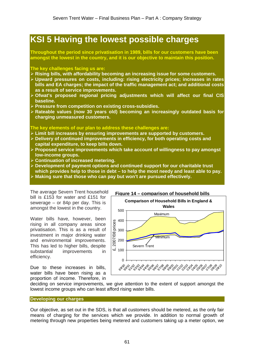# **KSI 5 Having the lowest possible charges**

**Throughout the period since privatisation in 1989, bills for our customers have been amongst the lowest in the country, and it is our objective to maintain this position.** 

#### **The key challenges facing us are:**

- ¾ **Rising bills, with affordability becoming an increasing issue for some customers.**
- ¾ **Upward pressures on costs, including: rising electricity prices; increases in rates bills and EA charges; the impact of the traffic management act; and additional costs as a result of service improvements.**
- ¾ **Ofwat's proposed regional pricing adjustments which will affect our final CIS baseline.**
- ¾ **Pressure from competition on existing cross-subsidies.**
- ¾ **Rateable values (now 30 years old) becoming an increasingly outdated basis for charging unmeasured customers.**

## **The key elements of our plan to address these challenges are:**

- ¾ **Limit bill increases by ensuring improvements are supported by customers.**
- ¾ **Delivery of continued improvements in efficiency, for both operating costs and capital expenditure, to keep bills down.**
- ¾ **Proposed service improvements which take account of willingness to pay amongst low-income groups.**
- ¾ **Continuation of increased metering.**
- ¾ **Development of payment options and continued support for our charitable trust which provides help to those in debt – to help the most needy and least able to pay.**
- ¾ **Making sure that those who can pay but won't are pursued effectively.**

The average Severn Trent household bill is £153 for water and £151 for sewerage – or 84p per day. This is amongst the lowest in the country.

Water bills have, however, been rising in all company areas since privatisation. This is as a result of investment in major drinking water and environmental improvements. This has led to higher bills, despite substantial improvements in efficiency.

Due to these increases in bills, water bills have been rising as a proportion of income. Therefore, in



deciding on service improvements, we give attention to the extent of support amongst the lowest income groups who can least afford rising water bills.

**Developing our charges** 

Our objective, as set out in the SDS, is that all customers should be metered, as the only fair means of charging for the services which we provide. In addition to normal growth of metering through new properties being metered and customers taking up a meter option, we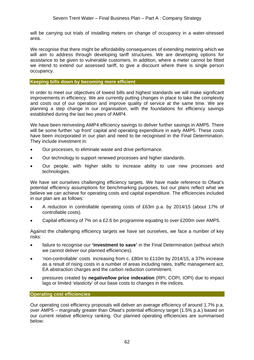will be carrying out trials of installing meters on change of occupancy in a water-stressed area.

We recognise that there might be affordability consequences of extending metering which we will aim to address through developing tariff structures. We are developing options for assistance to be given to vulnerable customers. In addition, where a meter cannot be fitted we intend to extend our assessed tariff, to give a discount where there is single person occupancy.

#### **Keeping bills down by becoming more efficient**

In order to meet our objectives of lowest bills and highest standards we will make significant improvements in efficiency. We are currently putting changes in place to take the complexity and costs out of our operation and improve quality of service at the same time. We are planning a step change in our organisation, with the foundations for efficiency savings established during the last two years of AMP4.

We have been reinvesting AMP4 efficiency savings to deliver further savings in AMP5. There will be some further 'up front' capital and operating expenditure in early AMP5. These costs have been incorporated in our plan and need to be recognised in the Final Determination. They include investment in:

- Our processes, to eliminate waste and drive performance.
- Our technology to support renewed processes and higher standards.
- Our people, with higher skills to increase ability to use new processes and technologies.

We have set ourselves challenging efficiency targets. We have made reference to Ofwat's potential efficiency assumptions for benchmarking purposes, but our plans reflect what we believe we can achieve for operating costs and capital expenditure. The efficiencies included in our plan are as follows:

- A reduction in controllable operating costs of £63m p.a. by 2014/15 (about 17% of controllable costs).
- Capital efficiency of 7% on a £2.6 bn programme equating to over £200m over AMP5.

Against the challenging efficiency targets we have set ourselves, we face a number of key risks:

- failure to recognise our **'investment to save'** in the Final Determination (without which we cannot deliver our planned efficiencies).
- 'non-controllable' costs increasing from c. £80m to £110m by 2014/15, a 37% increase as a result of rising costs in a number of areas including rates, traffic management act, EA abstraction charges and the carbon reduction commitment.
- pressures created by **negative/low price indexation** (RPI, COPI, IOPI) due to impact lags or limited 'elasticity' of our base costs to changes in the indices.

**Operating cost efficiencies** 

Our operating cost efficiency proposals will deliver an average efficiency of around 1.7% p.a. over AMP5 – marginally greater than Ofwat's potential efficiency target (1.5% p.a.) based on our current relative efficiency ranking. Our planned operating efficiencies are summarised below: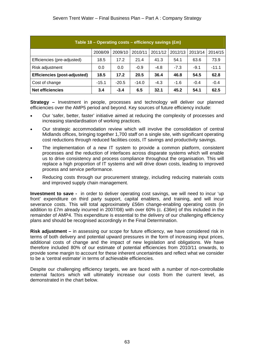| Table 18 - Operating costs - efficiency savings (£m) |         |         |         |         |         |         |         |  |
|------------------------------------------------------|---------|---------|---------|---------|---------|---------|---------|--|
|                                                      | 2008/09 | 2009/10 | 2010/11 | 2011/12 | 2012/13 | 2013/14 | 2014/15 |  |
| Efficiencies (pre-adjusted)                          | 18.5    | 17.2    | 21.4    | 41.3    | 54.1    | 63.6    | 73.9    |  |
| Risk adjustment                                      | 0.0     | 0.0     | $-0.9$  | $-4.8$  | $-7.3$  | $-9.1$  | $-11.1$ |  |
| <b>Efficiencies (post-adjusted)</b>                  | 18.5    | 17.2    | 20.5    | 36.4    | 46.8    | 54.5    | 62.8    |  |
| Cost of change                                       | $-15.1$ | $-20.5$ | $-14.0$ | $-4.3$  | $-1.6$  | $-0.4$  | $-0.4$  |  |
| <b>Net efficiencies</b>                              | 3.4     | $-3.4$  | 6.5     | 32.1    | 45.2    | 54.1    | 62.5    |  |

**Strategy –** Investment in people, processes and technology will deliver our planned efficiencies over the AMP5 period and beyond. Key sources of future efficiency include:

- Our 'safer, better, faster' initiative aimed at reducing the complexity of processes and increasing standardisation of working practices.
- Our strategic accommodation review which will involve the consolidation of central Midlands offices, bringing together 1,700 staff on a single site, with significant operating cost reductions through reduced facilities costs, IT savings and productivity savings.
- The implementation of a new IT system to provide a common platform, consistent processes and the reduction of interfaces across disparate systems which will enable us to drive consistency and process compliance throughout the organisation. This will replace a high proportion of IT systems and will drive down costs, leading to improved process and service performance.
- Reducing costs through our procurement strategy, including reducing materials costs and improved supply chain management.

**Investment to save -** in order to deliver operating cost savings, we will need to incur 'up front' expenditure on third party support, capital enablers, and training, and will incur severance costs. This will total approximately £56m change-enabling operating costs (in addition to £7m already incurred in 2007/08) with over 60% (c. £36m) of this included in the remainder of AMP4. This expenditure is essential to the delivery of our challenging efficiency plans and should be recognised accordingly in the Final Determination.

**Risk adjustment –** in assessing our scope for future efficiency, we have considered risk in terms of both delivery and potential upward pressures in the form of increasing input prices, additional costs of change and the impact of new legislation and obligations. We have therefore included 80% of our estimate of potential efficiencies from 2010/11 onwards, to provide some margin to account for these inherent uncertainties and reflect what we consider to be a 'central estimate' in terms of achievable efficiencies.

Despite our challenging efficiency targets, we are faced with a number of non-controllable external factors which will ultimately increase our costs from the current level, as demonstrated in the chart below.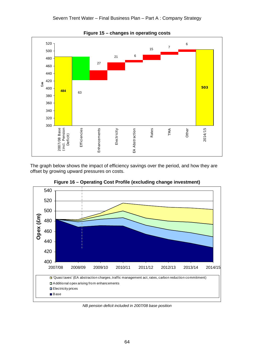

The graph below shows the impact of efficiency savings over the period, and how they are offset by growing upward pressures on costs.



**Figure 16 – Operating Cost Profile (excluding change investment)** 

*NB pension deficit included in 2007/08 base position*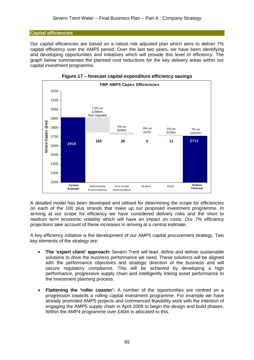# **Capital efficiencies**

Our capital efficiencies are based on a robust risk adjusted plan which aims to deliver 7% capital efficiency over the AMP5 period. Over the last two years, we have been identifying and developing opportunities and initiatives which will provide this level of efficiency. The graph below summarises the planned cost reductions for the key delivery areas within our capital investment programme.



**Figure 17 – forecast capital expenditure efficiency savings** 

A detailed model has been developed and utilised for determining the scope for efficiencies on each of the 100 plus strands that make up our proposed investment programme. In arriving at our scope for efficiency we have considered delivery risks and the short to medium term economic volatility which will have an impact on costs. Our 7% efficiency projections take account of these increases in arriving at a central estimate.

A key efficiency initiative is the development of our AMP5 capital procurement strategy. Two key elements of the strategy are:

- **The 'expert client' approach:** Severn Trent will lead, define and deliver sustainable solutions to drive the business performance we need. These solutions will be aligned with the performance objectives and strategic direction of the business and will secure regulatory compliance. This will be achieved by developing a high performance, progressive supply chain and intelligently linking asset performance to the investment planning process.
- **Flattening the 'roller coaster':** A number of the opportunities are centred on a progression towards a rolling capital investment programme. For example we have already promoted AMP5 projects and commenced feasibility work with the intention of engaging the AMP5 supply chain in April 2009 to begin the design and build phases. Within the AMP4 programme over £40m is allocated to this.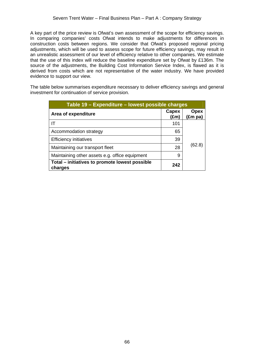A key part of the price review is Ofwat's own assessment of the scope for efficiency savings. In comparing companies' costs Ofwat intends to make adjustments for differences in construction costs between regions. We consider that Ofwat's proposed regional pricing adjustments, which will be used to assess scope for future efficiency savings, may result in an unrealistic assessment of our level of efficiency relative to other companies. We estimate that the use of this index will reduce the baseline expenditure set by Ofwat by £136m. The source of the adjustments, the Building Cost Information Service Index, is flawed as it is derived from costs which are not representative of the water industry. We have provided evidence to support our view.

The table below summarises expenditure necessary to deliver efficiency savings and general investment for continuation of service provision.

| Table 19 – Expenditure – lowest possible charges          |               |                        |  |  |  |  |
|-----------------------------------------------------------|---------------|------------------------|--|--|--|--|
| Area of expenditure                                       | Capex<br>(£m) | <b>Opex</b><br>(£m pa) |  |  |  |  |
| IΤ                                                        | 101           |                        |  |  |  |  |
| Accommodation strategy                                    | 65            |                        |  |  |  |  |
| <b>Efficiency initiatives</b>                             | 39            |                        |  |  |  |  |
| Maintaining our transport fleet                           | 28            | (62.8)                 |  |  |  |  |
| Maintaining other assets e.g. office equipment            | 9             |                        |  |  |  |  |
| Total – initiatives to promote lowest possible<br>charges | 242           |                        |  |  |  |  |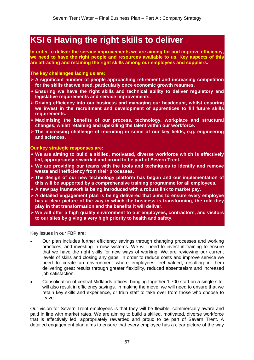# **KSI 6 Having the right skills to deliver**

**In order to deliver the service improvements we are aiming for and improve efficiency, we need to have the right people and resources available to us. Key aspects of this are attracting and retaining the right skills among our employees and suppliers.** 

**The key challenges facing us are:** 

- ¾ **A significant number of people approaching retirement and increasing competition for the skills that we need, particularly once economic growth resumes.**
- ¾ **Ensuring we have the right skills and technical ability to deliver regulatory and legislative requirements and service improvements.**
- ¾ **Driving efficiency into our business and managing our headcount, whilst ensuring we invest in the recruitment and development of apprentices to fill future skills requirements.**
- ¾ **Maximising the benefits of our process, technology, workplace and structural changes, whilst retaining and upskilling the talent within our workforce.**
- ¾ **The increasing challenge of recruiting in some of our key fields, e.g. engineering and sciences.**

**Our key strategic responses are:** 

- ¾ **We are aiming to build a skilled, motivated, diverse workforce which is effectively led, appropriately rewarded and proud to be part of Severn Trent.**
- ¾ **We are providing our teams with the tools and techniques to identify and remove waste and inefficiency from their processes.**
- ¾ **The design of our new technology platform has begun and our implementation of this will be supported by a comprehensive training programme for all employees.**
- ¾ **A new pay framework is being introduced with a robust link to market pay.**
- ¾ **A detailed engagement plan is being delivered that aims to ensure every employee has a clear picture of the way in which the business is transforming, the role they play in that transformation and the benefits it will deliver.**
- ¾ **We will offer a high quality environment to our employees, contractors, and visitors to our sites by giving a very high priority to health and safety.**

Key issues in our FBP are:

- Our plan includes further efficiency savings through changing processes and working practices, and investing in new systems. We will need to invest in training to ensure that we have the right skills for new ways of working. We are reviewing our current levels of skills and closing any gaps. In order to reduce costs and improve service we need to create an environment where employees feel valued, resulting in them delivering great results through greater flexibility, reduced absenteeism and increased job satisfaction.
- Consolidation of central Midlands offices, bringing together 1,700 staff on a single site, will also result in efficiency savings. In making the move, we will need to ensure that we retain key skills and experience, or train staff to take over from those who choose to leave.

Our vision for Severn Trent employees is that they will be flexible, commercially aware and paid in line with market rates. We are aiming to build a skilled, motivated, diverse workforce that is effectively led, appropriately rewarded and proud to be part of Severn Trent. A detailed engagement plan aims to ensure that every employee has a clear picture of the way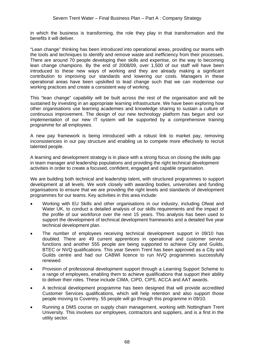in which the business is transforming, the role they play in that transformation and the benefits it will deliver.

"Lean change" thinking has been introduced into operational areas, providing our teams with the tools and techniques to identify and remove waste and inefficiency from their processes. There are around 70 people developing their skills and expertise, on the way to becoming lean change champions. By the end of 2008/09, over 1,500 of our staff will have been introduced to these new ways of working and they are already making a significant contribution to improving our standards and lowering our costs. Managers in these operational areas have been upskilled to lead change such that we can modernise our working practices and create a consistent way of working.

This "lean change" capability will be built across the rest of the organisation and will be sustained by investing in an appropriate learning infrastructure. We have been exploring how other organisations use learning academies and knowledge sharing to sustain a culture of continuous improvement. The design of our new technology platform has begun and our implementation of our new IT system will be supported by a comprehensive training programme for all employees.

A new pay framework is being introduced with a robust link to market pay, removing inconsistencies in our pay structure and enabling us to compete more effectively to recruit talented people.

A learning and development strategy is in place with a strong focus on closing the skills gap in team manager and leadership populations and providing the right technical development activities in order to create a focused, confident, engaged and capable organisation.

We are building both technical and leadership talent, with structured programmes to support development at all levels. We work closely with awarding bodies, universities and funding organisations to ensure that we are providing the right levels and standards of development programmes for our teams. Key activities in this area include:

- Working with EU Skills and other organisations in our industry, including Ofwat and Water UK, to conduct a detailed analysis of our skills requirements and the impact of the profile of our workforce over the next 15 years. This analysis has been used to support the development of technical development frameworks and a detailed five year technical development plan.
- The number of employees receiving technical development support in 09/10 has doubled. There are 49 current apprentices in operational and customer service functions and another 555 people are being supported to achieve City and Guilds, BTEC or NVQ qualifications. This year Severn Trent has been approved as a City and Guilds centre and had our CABWI licence to run NVQ programmes successfully renewed.
- Provision of professional development support through a Learning Support Scheme to a range of employees, enabling them to achieve qualifications that support their ability to deliver their roles. These include CIMA, CIPD, CIPS, ACCA and AAT awards.
- A technical development programme has been designed that will provide accredited Customer Services qualifications, which will help retention and also support those people moving to Coventry. 55 people will go through this programme in 09/10.
- Running a DMS course on supply chain management, working with Nottingham Trent University. This involves our employees, contractors and suppliers, and is a first in the utility sector.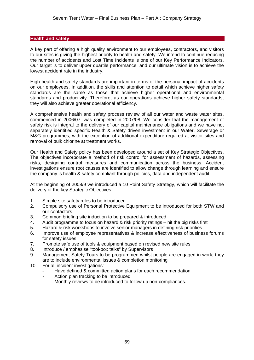#### **Health and safety**

A key part of offering a high quality environment to our employees, contractors, and visitors to our sites is giving the highest priority to health and safety. We intend to continue reducing the number of accidents and Lost Time Incidents is one of our Key Performance Indicators. Our target is to deliver upper quartile performance, and our ultimate vision is to achieve the lowest accident rate in the industry.

High health and safety standards are important in terms of the personal impact of accidents on our employees. In addition, the skills and attention to detail which achieve higher safety standards are the same as those that achieve higher operational and environmental standards and productivity. Therefore, as our operations achieve higher safety standards, they will also achieve greater operational efficiency.

A comprehensive health and safety process review of all our water and waste water sites, commenced in 2006/07, was completed in 2007/08. We consider that the management of safety risk is integral to the delivery of our capital maintenance obligations and we have not separately identified specific Health & Safety driven investment in our Water, Sewerage or M&G programmes, with the exception of additional expenditure required at visitor sites and removal of bulk chlorine at treatment works.

Our Health and Safety policy has been developed around a set of Key Strategic Objectives. The objectives incorporate a method of risk control for assessment of hazards, assessing risks, designing control measures and communication across the business. Accident investigations ensure root causes are identified to allow change through learning and ensure the company is health & safety compliant through policies, data and independent audit.

At the beginning of 2008/9 we introduced a 10 Point Safety Strategy, which will facilitate the delivery of the key Strategic Objectives:

- 1. Simple site safety rules to be introduced
- 2. Compulsory use of Personal Protective Equipment to be introduced for both STW and our contactors
- 3. Common briefing site induction to be prepared & introduced
- 4. Audit programme to focus on hazard & risk priority ratings hit the big risks first<br>5. Hazard & risk workshops to involve senior managers in defining risk priorities
- 5. Hazard & risk workshops to involve senior managers in defining risk priorities
- 6. Improve use of employee representatives & increase effectiveness of business forums for safety issues
- 7. Promote safe use of tools & equipment based on revised new site rules
- 8. Introduce / emphasise "tool-box talks" by Supervisors
- 9. Management Safety Tours to be programmed whilst people are engaged in work; they are to include environmental issues & completion monitoring
- 10. For all incident investigations:
	- Have defined & committed action plans for each recommendation
	- Action plan tracking to be introduced
	- Monthly reviews to be introduced to follow up non-compliances.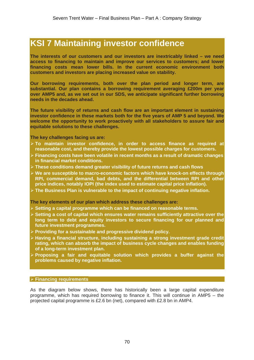# **KSI 7 Maintaining investor confidence**

**The interests of our customers and our investors are inextricably linked – we need access to financing to maintain and improve our services to customers; and lower financing costs mean lower bills. In the current economic environment both customers and investors are placing increased value on stability.** 

**Our borrowing requirements, both over the plan period and longer term, are substantial. Our plan contains a borrowing requirement averaging £200m per year over AMP5 and, as we set out in our SDS, we anticipate significant further borrowing needs in the decades ahead.** 

**The future visibility of returns and cash flow are an important element in sustaining investor confidence in these markets both for the five years of AMP 5 and beyond. We welcome the opportunity to work proactively with all stakeholders to assure fair and equitable solutions to these challenges.** 

**The key challenges facing us are:** 

- ¾ **To maintain investor confidence, in order to access finance as required at reasonable cost, and thereby provide the lowest possible charges for customers.**
- ¾ **Financing costs have been volatile in recent months as a result of dramatic changes in financial market conditions.**
- ¾ **These conditions demand greater visibility of future returns and cash flows**
- ¾ **We are susceptible to macro-economic factors which have knock-on effects through RPI, commercial demand, bad debts, and the differential between RPI and other price indices, notably IOPI (the index used to estimate capital price inflation).**
- ¾ **The Business Plan is vulnerable to the impact of continuing negative inflation.**

**The key elements of our plan which address these challenges are:**

- ¾ **Setting a capital programme which can be financed on reasonable terms.**
- ¾ **Setting a cost of capital which ensures water remains sufficiently attractive over the long term to debt and equity investors to secure financing for our planned and future investment programmes.**
- ¾ **Providing for a sustainable and progressive dividend policy.**
- ¾ **Having a financial structure, including sustaining a strong investment grade credit rating, which can absorb the impact of business cycle changes and enables funding of a long-term investment plan.**
- ¾ **Proposing a fair and equitable solution which provides a buffer against the problems caused by negative inflation.**

#### ¾ **Financing requirements**

As the diagram below shows, there has historically been a large capital expenditure programme, which has required borrowing to finance it. This will continue in AMP5 – the projected capital programme is £2.6 bn (net), compared with £2.8 bn in AMP4.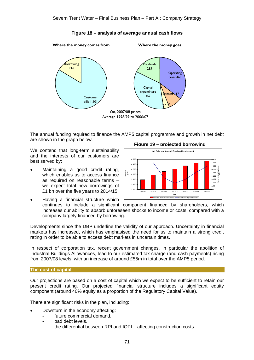## **Figure 18 – analysis of average annual cash flows**

**Where the money comes from**

**Where the money goes**



The annual funding required to finance the AMP5 capital programme and growth in net debt are shown in the graph below.

We contend that long-term sustainability and the interests of our customers are best served by:

Maintaining a good credit rating, which enables us to access finance as required on reasonable terms – we expect total new borrowings of £1 bn over the five years to 2014/15.



• Having a financial structure which continues to include a significant component financed by shareholders, which increases our ability to absorb unforeseen shocks to income or costs, compared with a company largely financed by borrowing.

Developments since the DBP underline the validity of our approach. Uncertainty in financial markets has increased, which has emphasised the need for us to maintain a strong credit rating in order to be able to access debt markets in uncertain times.

In respect of corporation tax, recent government changes, in particular the abolition of Industrial Buildings Allowances, lead to our estimated tax charge (and cash payments) rising from 2007/08 levels, with an increase of around £55m in total over the AMP5 period.

#### **The cost of capital**

Our projections are based on a cost of capital which we expect to be sufficient to retain our present credit rating. Our projected financial structure includes a significant equity component (around 40% equity as a proportion of the Regulatory Capital Value).

There are significant risks in the plan, including:

- Downturn in the economy affecting:
	- future commercial demand.
	- bad debt levels.
	- the differential between RPI and IOPI affecting construction costs.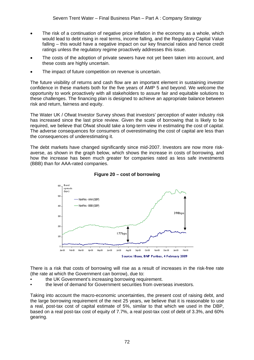- The risk of a continuation of negative price inflation in the economy as a whole, which would lead to debt rising in real terms, income falling, and the Regulatory Capital Value falling – this would have a negative impact on our key financial ratios and hence credit ratings unless the regulatory regime proactively addresses this issue.
- The costs of the adoption of private sewers have not yet been taken into account, and these costs are highly uncertain.
- The impact of future competition on revenue is uncertain.

The future visibility of returns and cash flow are an important element in sustaining investor confidence in these markets both for the five years of AMP 5 and beyond. We welcome the opportunity to work proactively with all stakeholders to assure fair and equitable solutions to these challenges. The financing plan is designed to achieve an appropriate balance between risk and return, fairness and equity.

The Water UK / Ofwat Investor Survey shows that investors' perception of water industry risk has increased since the last price review. Given the scale of borrowing that is likely to be required, we believe that Ofwat should take a long-term view in estimating the cost of capital. The adverse consequences for consumers of overestimating the cost of capital are less than the consequences of underestimating it.

The debt markets have changed significantly since mid-2007. Investors are now more riskaverse, as shown in the graph below, which shows the increase in costs of borrowing, and how the increase has been much greater for companies rated as less safe investments (BBB) than for AAA-rated companies.



**Figure 20 – cost of borrowing** 

There is a risk that costs of borrowing will rise as a result of increases in the risk-free rate (the rate at which the Government can borrow), due to:

- the UK Government's increasing borrowing requirement.
- the level of demand for Government securities from overseas investors.

Taking into account the macro-economic uncertainties, the present cost of raising debt, and the large borrowing requirement of the next 25 years, we believe that it is reasonable to use a real, post-tax cost of capital estimate of 5%, similar to that which we used in the DBP, based on a real post-tax cost of equity of 7.7%, a real post-tax cost of debt of 3.3%, and 60% gearing.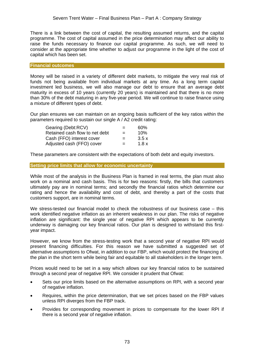There is a link between the cost of capital, the resulting assumed returns, and the capital programme. The cost of capital assumed in the price determination may affect our ability to raise the funds necessary to finance our capital programme. As such, we will need to consider at the appropriate time whether to adjust our programme in the light of the cost of capital which has been set.

#### **Financial outcomes**

Money will be raised in a variety of different debt markets, to mitigate the very real risk of funds not being available from individual markets at any time. As a long term capital investment led business, we will also manage our debt to ensure that an average debt maturity in excess of 10 years (currently 20 years) is maintained and that there is no more than 30% of the debt maturing in any five-year period. We will continue to raise finance using a mixture of different types of debt.

Our plan ensures we can maintain on an ongoing basis sufficient of the key ratios within the parameters required to sustain our single A / A2 credit rating:

| Gearing (Debt:RCV)             | $=$ | 60%  |
|--------------------------------|-----|------|
| Retained cash flow to net debt | $=$ | 10%  |
| Cash (FFO) interest cover      | $=$ | 3.5x |
| Adjusted cash (FFO) cover      | $=$ | 1.8x |

These parameters are consistent with the expectations of both debt and equity investors.

#### **Setting price limits that allow for economic uncertainty**

While most of the analysis in the Business Plan is framed in real terms, the plan must also work on a nominal and cash basis. This is for two reasons: firstly, the bills that customers ultimately pay are in nominal terms; and secondly the financial ratios which determine our rating and hence the availability and cost of debt, and thereby a part of the costs that customers support, are in nominal terms.

We stress-tested our financial model to check the robustness of our business case – this work identified negative inflation as an inherent weakness in our plan. The risks of negative inflation are significant: the single year of negative RPI which appears to be currently underway is damaging our key financial ratios. Our plan is designed to withstand this firstyear impact.

However, we know from the stress-testing work that a second year of negative RPI would present financing difficulties. For this reason we have submitted a suggested set of alternative assumptions to Ofwat, in addition to our FBP, which would protect the financing of the plan in the short term while being fair and equitable to all stakeholders in the longer term.

Prices would need to be set in a way which allows our key financial ratios to be sustained through a second year of negative RPI. We consider it prudent that Ofwat:

- Sets our price limits based on the alternative assumptions on RPI, with a second year of negative inflation.
- Requires, within the price determination, that we set prices based on the FBP values unless RPI diverges from the FBP track.
- Provides for corresponding movement in prices to compensate for the lower RPI if there is a second year of negative inflation.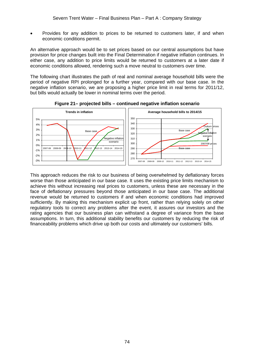• Provides for any addition to prices to be returned to customers later, if and when economic conditions permit.

An alternative approach would be to set prices based on our central assumptions but have provision for price changes built into the Final Determination if negative inflation continues. In either case, any addition to price limits would be returned to customers at a later date if economic conditions allowed, rendering such a move neutral to customers over time.

The following chart illustrates the path of real and nominal average household bills were the period of negative RPI prolonged for a further year, compared with our base case. In the negative inflation scenario, we are proposing a higher price limit in real terms for 2011/12, but bills would actually be lower in nominal terms over the period.





This approach reduces the risk to our business of being overwhelmed by deflationary forces worse than those anticipated in our base case. It uses the existing price limits mechanism to achieve this without increasing real prices to customers, unless these are necessary in the face of deflationary pressures beyond those anticipated in our base case. The additional revenue would be returned to customers if and when economic conditions had improved sufficiently. By making this mechanism explicit up front, rather than relying solely on other regulatory tools to correct any problems after the event, it assures our investors and the rating agencies that our business plan can withstand a degree of variance from the base assumptions. In turn, this additional stability benefits our customers by reducing the risk of financeability problems which drive up both our costs and ultimately our customers' bills.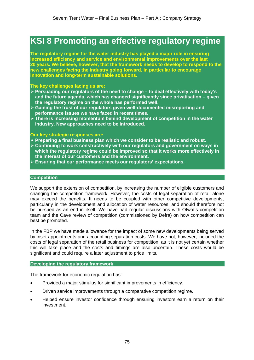# **KSI 8 Promoting an effective regulatory regime**

**The regulatory regime for the water industry has played a major role in ensuring increased efficiency and service and environmental improvements over the last 20 years. We believe, however, that the framework needs to develop to respond to the new challenges facing the industry going forward, in particular to encourage innovation and long-term sustainable solutions.** 

#### **The key challenges facing us are:**

- ¾ **Persuading our regulators of the need to change to deal effectively with today's and the future agenda, which has changed significantly since privatisation – given the regulatory regime on the whole has performed well.**
- ¾ **Gaining the trust of our regulators given well-documented misreporting and performance issues we have faced in recent times.**
- ¾ **There is increasing momentum behind development of competition in the water industry. New approaches need to be introduced.**

#### **Our key strategic responses are:**

- ¾ **Preparing a final business plan which we consider to be realistic and robust.**
- ¾ **Continuing to work constructively with our regulators and government on ways in which the regulatory regime could be improved so that it works more effectively in the interest of our customers and the environment.**
- ¾ **Ensuring that our performance meets our regulators' expectations.**

#### **Competition**

We support the extension of competition, by increasing the number of eligible customers and changing the competition framework. However, the costs of legal separation of retail alone may exceed the benefits. It needs to be coupled with other competitive developments, particularly in the development and allocation of water resources, and should therefore not be pursued as an end in itself. We have had regular discussions with Ofwat's competition team and the Cave review of competition (commissioned by Defra) on how competition can best be promoted.

In the FBP we have made allowance for the impact of some new developments being served by inset appointments and accounting separation costs. We have not, however, included the costs of legal separation of the retail business for competition, as it is not yet certain whether this will take place and the costs and timings are also uncertain. These costs would be significant and could require a later adjustment to price limits.

#### **Developing the regulatory framework**

The framework for economic regulation has:

- Provided a major stimulus for significant improvements in efficiency.
- Driven service improvements through a comparative competition regime.
- Helped ensure investor confidence through ensuring investors earn a return on their investment.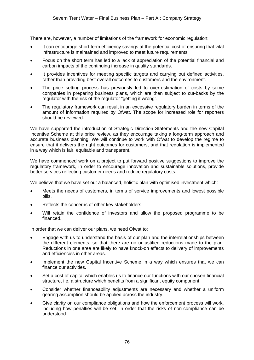There are, however, a number of limitations of the framework for economic regulation:

- It can encourage short-term efficiency savings at the potential cost of ensuring that vital infrastructure is maintained and improved to meet future requirements.
- Focus on the short term has led to a lack of appreciation of the potential financial and carbon impacts of the continuing increase in quality standards.
- It provides incentives for meeting specific targets and carrying out defined activities, rather than providing best overall outcomes to customers and the environment.
- The price setting process has previously led to over-estimation of costs by some companies in preparing business plans, which are then subject to cut-backs by the regulator with the risk of the regulator "getting it wrong".
- The regulatory framework can result in an excessive regulatory burden in terms of the amount of information required by Ofwat. The scope for increased role for reporters should be reviewed.

We have supported the introduction of Strategic Direction Statements and the new Capital Incentive Scheme at this price review, as they encourage taking a long-term approach and accurate business planning. We will continue to work with Ofwat to develop the regime to ensure that it delivers the right outcomes for customers, and that regulation is implemented in a way which is fair, equitable and transparent.

We have commenced work on a project to put forward positive suggestions to improve the regulatory framework, in order to encourage innovation and sustainable solutions, provide better services reflecting customer needs and reduce regulatory costs.

We believe that we have set out a balanced, holistic plan with optimised investment which:

- Meets the needs of customers, in terms of service improvements and lowest possible bills.
- Reflects the concerns of other key stakeholders.
- Will retain the confidence of investors and allow the proposed programme to be financed.

In order that we can deliver our plans, we need Ofwat to:

- Engage with us to understand the basis of our plan and the interrelationships between the different elements, so that there are no unjustified reductions made to the plan. Reductions in one area are likely to have knock-on effects to delivery of improvements and efficiencies in other areas.
- Implement the new Capital Incentive Scheme in a way which ensures that we can finance our activities.
- Set a cost of capital which enables us to finance our functions with our chosen financial structure, i.e. a structure which benefits from a significant equity component.
- Consider whether financeability adjustments are necessary and whether a uniform gearing assumption should be applied across the industry.
- Give clarity on our compliance obligations and how the enforcement process will work, including how penalties will be set, in order that the risks of non-compliance can be understood.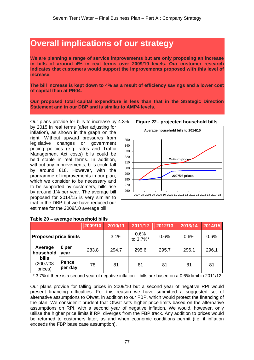## **Overall implications of our strategy**

**We are planning a range of service improvements but are only proposing an increase in bills of around 4% in real terms over 2009/10 levels. Our customer research indicates that customers would support the improvements proposed with this level of increase.** 

**The bill increase is kept down to 4% as a result of efficiency savings and a lower cost of capital than at PR04.** 

**Our proposed total capital expenditure is less than that in the Strategic Direction Statement and in our DBP and is similar to AMP4 levels.** 

Our plans provide for bills to increase by 4.3% by 2015 in real terms (after adjusting for inflation), as shown in the graph on the right. Without upward pressures from legislative changes or government pricing policies (e.g. rates and Traffic Management Act costs) bills could be held stable in real terms. In addition, without any improvements, bills could fall by around £18. However, with the programme of improvements in our plan, which we consider to be necessary and to be supported by customers, bills rise by around 1% per year. The average bill proposed for 2014/15 is very similar to that in the DBP but we have reduced our estimate for the 2009/10 average bill.



**Figure 22– projected household bills** 

|                                     |                         | 2009/10 | 2010/11 | 2011/12          | 2012/13 | 2013/14 | 2014/15 |
|-------------------------------------|-------------------------|---------|---------|------------------|---------|---------|---------|
| <b>Proposed price limits</b>        |                         |         | 3.1%    | 0.6%<br>to 3.7%* | 0.6%    | 0.6%    | 0.6%    |
| Average<br>household                | £ per<br>year           | 283.8   | 294.7   | 295.6            | 295.7   | 296.1   | 296.1   |
| <b>bills</b><br>(2007/08<br>prices) | <b>Pence</b><br>per day | 78      | 81      | 81               | 81      | 81      | 81      |

### **Table 20 – average household bills**

\* 3.7% if there is a second year of negative inflation – bills are based on a 0.6% limit in 2011/12

Our plans provide for falling prices in 2009/10 but a second year of negative RPI would present financing difficulties. For this reason we have submitted a suggested set of alternative assumptions to Ofwat, in addition to our FBP, which would protect the financing of the plan. We consider it prudent that Ofwat sets higher price limits based on the alternative assumptions on RPI, with a second year of negative inflation. We would, however, only utilise the higher price limits if RPI diverges from the FBP track. Any addition to prices would be returned to customers later, as and when economic conditions permit (i.e. if inflation exceeds the FBP base case assumption).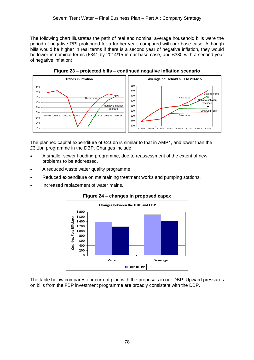The following chart illustrates the path of real and nominal average household bills were the period of negative RPI prolonged for a further year, compared with our base case. Although bills would be higher in real terms if there is a second year of negative inflation, they would be lower in nominal terms (£341 by 2014/15 in our base case, and £330 with a second year of negative inflation).



**Figure 23 – projected bills – continued negative inflation scenario** 

The planned capital expenditure of £2.6bn is similar to that in AMP4, and lower than the £3.1bn programme in the DBP. Changes include:

- A smaller sewer flooding programme, due to reassessment of the extent of new problems to be addressed.
- A reduced waste water quality programme.
- Reduced expenditure on maintaining treatment works and pumping stations.
- Increased replacement of water mains.



**Figure 24 – changes in proposed capex** 

The table below compares our current plan with the proposals in our DBP. Upward pressures on bills from the FBP investment programme are broadly consistent with the DBP.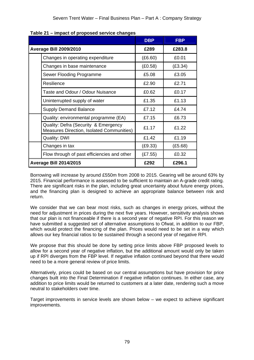| mpact of proposed corrieo changed                                                 | <b>DBP</b> | <b>FBP</b> |
|-----------------------------------------------------------------------------------|------------|------------|
| <b>Average Bill 2009/2010</b>                                                     | £289       | £283.8     |
| Changes in operating expenditure                                                  | (E6.60)    | £0.01      |
| Changes in base maintenance                                                       | (E0.58)    | (E3.34)    |
| Sewer Flooding Programme                                                          | £5.08      | £3.05      |
| Resilience                                                                        | £2.90      | £2.71      |
| Taste and Odour / Odour Nuisance                                                  | £0.62      | £0.17      |
| Uninterrupted supply of water                                                     | £1.35      | £1.13      |
| <b>Supply Demand Balance</b>                                                      | £7.12      | £4.74      |
| Quality: environmental programme (EA)                                             | £7.15      | £6.73      |
| Quality: Defra (Security & Emergency<br>Measures Direction, Isolated Communities) | £1.17      | £1.22      |
| <b>Quality: DWI</b>                                                               | £1.42      | £1.19      |
| Changes in tax                                                                    | (E9.33)    | (E5.68)    |
| Flow through of past efficiencies and other                                       | (E7.55)    | £0.32      |
| <b>Average Bill 2014/2015</b>                                                     | £292       | £296.1     |

Borrowing will increase by around £550m from 2008 to 2015. Gearing will be around 63% by 2015. Financial performance is assessed to be sufficient to maintain an A-grade credit rating. There are significant risks in the plan, including great uncertainty about future energy prices, and the financing plan is designed to achieve an appropriate balance between risk and return.

We consider that we can bear most risks, such as changes in energy prices, without the need for adjustment in prices during the next five years. However, sensitivity analysis shows that our plan is not financeable if there is a second year of negative RPI. For this reason we have submitted a suggested set of alternative assumptions to Ofwat, in addition to our FBP, which would protect the financing of the plan. Prices would need to be set in a way which allows our key financial ratios to be sustained through a second year of negative RPI.

We propose that this should be done by setting price limits above FBP proposed levels to allow for a second year of negative inflation, but the additional amount would only be taken up if RPI diverges from the FBP level. If negative inflation continued beyond that there would need to be a more general review of price limits.

Alternatively, prices could be based on our central assumptions but have provision for price changes built into the Final Determination if negative inflation continues. In either case, any addition to price limits would be returned to customers at a later date, rendering such a move neutral to stakeholders over time.

Target improvements in service levels are shown below – we expect to achieve significant improvements.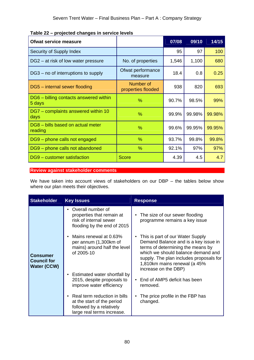| <b>Ofwat service measure</b>                     |                                 | 07/08 | 09/10  | 14/15  |
|--------------------------------------------------|---------------------------------|-------|--------|--------|
| Security of Supply Index                         |                                 | 95    | 97     | 100    |
| DG2 – at risk of low water pressure              | No. of properties               | 1,546 | 1,100  | 680    |
| DG3 – no of interruptions to supply              | Ofwat performance<br>measure    | 18.4  | 0.8    | 0.25   |
| DG5 - internal sewer flooding                    | Number of<br>properties flooded | 938   | 820    | 693    |
| DG6 – billing contacts answered within<br>5 days | $\%$                            | 90.7% | 98.5%  | 99%    |
| DG7 - complaints answered within 10<br>days      | $\%$                            | 99.9% | 99.98% | 99.98% |
| DG8 - bills based on actual meter<br>reading     | %                               | 99.6% | 99.95% | 99.95% |
| DG9 - phone calls not engaged                    | %                               | 93.7% | 99.8%  | 99.8%  |
| DG9 - phone calls not abandoned                  | %                               | 92.1% | 97%    | 97%    |
| DG9 - customer satisfaction                      | <b>Score</b>                    | 4.39  | 4.5    | 4.7    |

**Table 22 – projected changes in service levels** 

**Review against stakeholder comments**

We have taken into account views of stakeholders on our DBP – the tables below show where our plan meets their objectives.

| <b>Stakeholder</b>                                   | <b>Key Issues</b>                                                                                                    | <b>Response</b>                                                                                                                                                                                                                                        |
|------------------------------------------------------|----------------------------------------------------------------------------------------------------------------------|--------------------------------------------------------------------------------------------------------------------------------------------------------------------------------------------------------------------------------------------------------|
|                                                      | Overall number of<br>properties that remain at<br>risk of internal sewer<br>flooding by the end of 2015              | • The size of our sewer flooding<br>programme remains a key issue                                                                                                                                                                                      |
| <b>Consumer</b><br><b>Council for</b><br>Water (CCW) | Mains renewal at 0.63%<br>per annum (1,300km of<br>mains) around half the level<br>of 2005-10                        | This is part of our Water Supply<br>Demand Balance and is a key issue in<br>terms of determining the means by<br>which we should balance demand and<br>supply. The plan includes proposals for<br>1,810km mains renewal (a 45%<br>increase on the DBP) |
|                                                      | • Estimated water shortfall by<br>2015, despite proposals to<br>improve water efficiency                             | End of AMP5 deficit has been<br>$\bullet$<br>removed.                                                                                                                                                                                                  |
|                                                      | Real term reduction in bills<br>at the start of the period<br>followed by a relatively<br>large real terms increase. | The price profile in the FBP has<br>changed.                                                                                                                                                                                                           |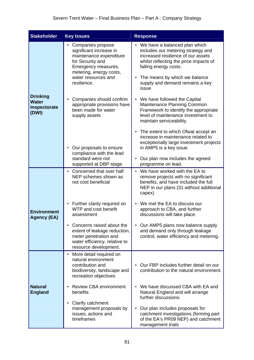| <b>Stakeholder</b>                                                                                                                            | <b>Key Issues</b>                                                                                                                            | <b>Response</b>                                                                                                                                                                     |  |  |  |
|-----------------------------------------------------------------------------------------------------------------------------------------------|----------------------------------------------------------------------------------------------------------------------------------------------|-------------------------------------------------------------------------------------------------------------------------------------------------------------------------------------|--|--|--|
| Companies propose<br>significant increase in<br>maintenance expenditure<br>for Security and<br>Emergency measures,<br>metering, energy costs, |                                                                                                                                              | • We have a balanced plan which<br>includes our metering strategy and<br>increased resilience of our assets<br>whilst reflecting the price impacts of<br>falling energy costs.      |  |  |  |
|                                                                                                                                               | water resources and<br>resilience.                                                                                                           | • The means by which we balance<br>supply and demand remains a key<br>issue                                                                                                         |  |  |  |
| <b>Drinking</b><br><b>Water</b><br>Inspectorate<br>(DWI)                                                                                      | Companies should confirm<br>appropriate provisions have<br>been made for water<br>supply assets                                              | We have followed the Capital<br>$\bullet$<br>Maintenance Planning Common<br>Framework to identify the appropriate<br>level of maintenance investment to<br>maintain serviceability. |  |  |  |
|                                                                                                                                               | • Our proposals to ensure<br>compliance with the lead<br>standard were not                                                                   | The extent to which Ofwat accept an<br>increase in maintenance related to<br>exceptionally large investment projects<br>in AMP5 is a key issue.<br>Our plan now includes the agreed |  |  |  |
|                                                                                                                                               | supported at DBP stage.                                                                                                                      | programme on lead.                                                                                                                                                                  |  |  |  |
|                                                                                                                                               | • Concerned that over half<br>NEP schemes shown as<br>not cost beneficial                                                                    | • We have worked with the EA to<br>remove projects with no significant<br>benefits, and have included the full<br>NEP in our plans (31 without additional<br>capex)                 |  |  |  |
| <b>Environment</b><br><b>Agency (EA)</b>                                                                                                      | • Further clarity required on<br>WTP and cost benefit<br>assessment                                                                          | • We met the EA to discuss our<br>approach to CBA, and further<br>discussions will take place.                                                                                      |  |  |  |
|                                                                                                                                               | Concerns raised about the<br>extent of leakage reduction,<br>meter penetration and<br>water efficiency, relative to<br>resource development. | • Our AMP5 plans now balance supply<br>and demand only through leakage<br>control, water efficiency and metering.                                                                   |  |  |  |
| <b>Natural</b><br><b>England</b>                                                                                                              | More detail required on<br>natural environment<br>contribution and<br>biodiversity, landscape and<br>recreation objectives                   | Our FBP includes further detail on our<br>contribution to the natural environment.                                                                                                  |  |  |  |
|                                                                                                                                               | <b>Review CBA environment</b><br>benefits                                                                                                    | • We have discussed CBA with EA and<br>Natural England and will arrange<br>further discussions.                                                                                     |  |  |  |
|                                                                                                                                               | Clarify catchment<br>management proposals by<br>issues, actions and<br>timeframes                                                            | Our plan includes proposals for<br>catchment investigations (forming part<br>of the EA's PR09 NEP) and catchment<br>management trials                                               |  |  |  |